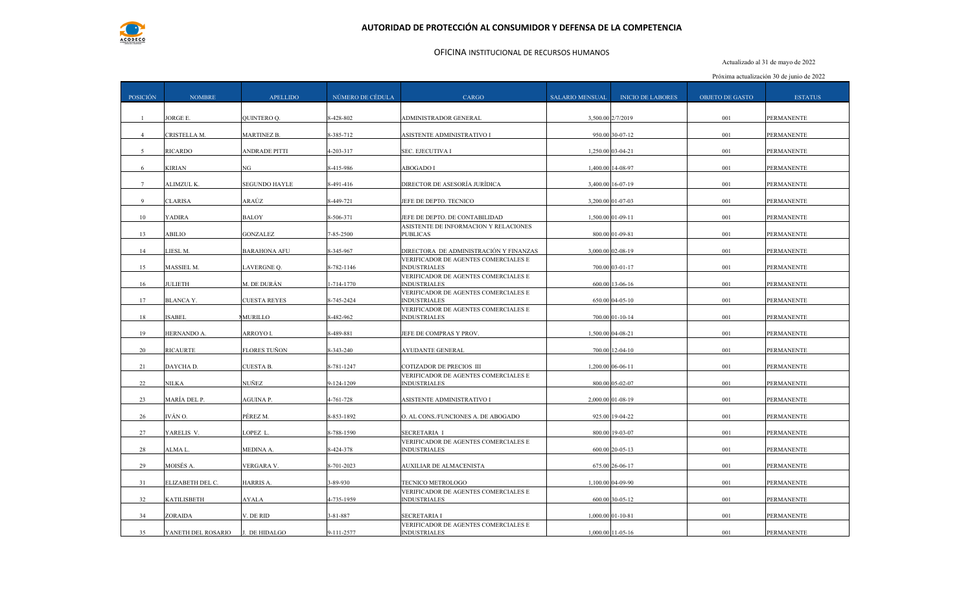

## OFICINA INSTITUCIONAL DE RECURSOS HUMANOS

Actualizado al 31 de mayo de 2022

Próxima actualización 30 de junio de 2022

| <b>POSICIÓN</b> | <b>NOMBRE</b>      | <b>APELLIDO</b>      | NÚMERO DE CÉDULA | CARGO                                                       | <b>SALARIO MENSUAL</b> | <b>INICIO DE LABORES</b> | <b>OBJETO DE GASTO</b> | <b>ESTATUS</b>    |
|-----------------|--------------------|----------------------|------------------|-------------------------------------------------------------|------------------------|--------------------------|------------------------|-------------------|
|                 | JORGE E.           | QUINTERO Q.          | 8-428-802        | ADMINISTRADOR GENERAL                                       | 3,500.00 2/7/2019      |                          | 001                    | PERMANENTE        |
| $\overline{4}$  | CRISTELLA M.       | <b>MARTINEZ B.</b>   | 8-385-712        | ASISTENTE ADMINISTRATIVO I                                  | 950.00 30-07-12        |                          | 001                    | PERMANENTE        |
| 5               | <b>RICARDO</b>     | ANDRADE PITTI        | 4-203-317        | SEC. EJECUTIVA I                                            | 1,250.00 03-04-21      |                          | 001                    | <b>PERMANENTE</b> |
| 6               | KIRIAN             | NG                   | 8-415-986        | ABOGADO I                                                   | 1,400.00 14-08-97      |                          | 001                    | PERMANENTE        |
| $7\overline{ }$ | ALIMZUL K.         | <b>SEGUNDO HAYLE</b> | 8-491-416        | DIRECTOR DE ASESORÍA JURÍDICA                               | 3,400.00 16-07-19      |                          | 001                    | PERMANENTE        |
| $\mathbf{Q}$    | CLARISA            | ARAÚZ                | 8-449-721        | JEFE DE DEPTO. TECNICO                                      | 3,200.00 01-07-03      |                          | 001                    | PERMANENTE        |
| 10              | <b>YADIRA</b>      | <b>BALOY</b>         | 3-506-371        | JEFE DE DEPTO. DE CONTABILIDAD                              | 1,500.00 01-09-11      |                          | 001                    | PERMANENTE        |
| 13              | ABILIO             | GONZALEZ             | 7-85-2500        | ASISTENTE DE INFORMACION Y RELACIONES<br>PUBLICAS           | 800.00 01-09-81        |                          | 001                    | PERMANENTE        |
| 14              | LIESL M.           | <b>BARAHONA AFU</b>  | 8-345-967        | DIRECTORA DE ADMINISTRACIÓN Y FINANZAS                      | 3,000.00 02-08-19      |                          | 001                    | PERMANENTE        |
| 15              | MASSIEL M.         | LAVERGNE Q.          | 8-782-1146       | VERIFICADOR DE AGENTES COMERCIALES E<br><b>NDUSTRIALES</b>  | 700.00 03-01-17        |                          | 001                    | PERMANENTE        |
| 16              | <b>JULIETH</b>     | M. DE DURÁN          | 1-714-1770       | VERIFICADOR DE AGENTES COMERCIALES E<br><b>INDUSTRIALES</b> | 600.00 13-06-16        |                          | 001                    | PERMANENTE        |
| 17              | <b>BLANCA Y.</b>   | <b>CUESTA REYES</b>  | 8-745-2424       | VERIFICADOR DE AGENTES COMERCIALES E<br>INDUSTRIALES        | 650.00 04-05-10        |                          | 001                    | <b>PERMANENTE</b> |
| 18              | <b>ISABEL</b>      | <b>MURILLO</b>       | 8-482-962        | VERIFICADOR DE AGENTES COMERCIALES E<br><b>INDUSTRIALES</b> | 700.00 01-10-14        |                          | 001                    | PERMANENTE        |
| 19              | HERNANDO A.        | ARROYO I.            | 8-489-881        | JEFE DE COMPRAS Y PROV.                                     | 1,500.00 04-08-21      |                          | 001                    | PERMANENTE        |
| 20              | RICAURTE           | FLORES TUÑON         | 8-343-240        | AYUDANTE GENERAL                                            | 700.00 12-04-10        |                          | 001                    | PERMANENTE        |
| 21              | DAYCHA D.          | <b>CUESTA B.</b>     | 8-781-1247       | COTIZADOR DE PRECIOS III                                    | 1,200.00 06-06-11      |                          | 001                    | PERMANENTE        |
| 22              | NILKA              | NUÑEZ                | 9-124-1209       | VERIFICADOR DE AGENTES COMERCIALES E<br><b>INDUSTRIALES</b> | 800.00 05-02-07        |                          | 001                    | PERMANENTE        |
| 23              | MARÍA DEL P.       | AGUINA P.            | 4-761-728        | ASISTENTE ADMINISTRATIVO I                                  | 2,000.00 01-08-19      |                          | 001                    | PERMANENTE        |
| 26              | IVÁN O.            | PÉREZ M.             | 8-853-1892       | O. AL CONS./FUNCIONES A. DE ABOGADO                         | 925.00 19-04-22        |                          | 001                    | PERMANENTE        |
| 27              | YARELIS V.         | LOPEZ L.             | 8-788-1590       | <b>SECRETARIA I</b>                                         | 800.00 19-03-07        |                          | 001                    | PERMANENTE        |
| 28              | ALMA L.            | MEDINA A.            | 8-424-378        | VERIFICADOR DE AGENTES COMERCIALES E<br><b>INDUSTRIALES</b> | 600.00 20-05-13        |                          | 001                    | PERMANENTE        |
| 29              | MOISÉS A.          | VERGARA V.           | 8-701-2023       | AUXILIAR DE ALMACENISTA                                     | 675.00 26-06-17        |                          | 001                    | PERMANENTE        |
| 31              | ELIZABETH DEL C.   | HARRIS A.            | 3-89-930         | TECNICO METROLOGO                                           | 1,100.00 04-09-90      |                          | 001                    | PERMANENTE        |
| 32              | <b>KATILISBETH</b> | AYALA                | 4-735-1959       | VERIFICADOR DE AGENTES COMERCIALES E<br><b>INDUSTRIALES</b> | 600.00 30-05-12        |                          | 001                    | PERMANENTE        |
| 34              | ZORAIDA            | V. DE RID            | 3-81-887         | <b>SECRETARIA I</b>                                         | 1,000.00 01-10-81      |                          | 001                    | PERMANENTE        |
| 35              | YANETH DEL ROSARIO | J. DE HIDALGO        | 9-111-2577       | VERIFICADOR DE AGENTES COMERCIALES E<br><b>INDUSTRIALES</b> | 1,000.00 11-05-16      |                          | 001                    | PERMANENTE        |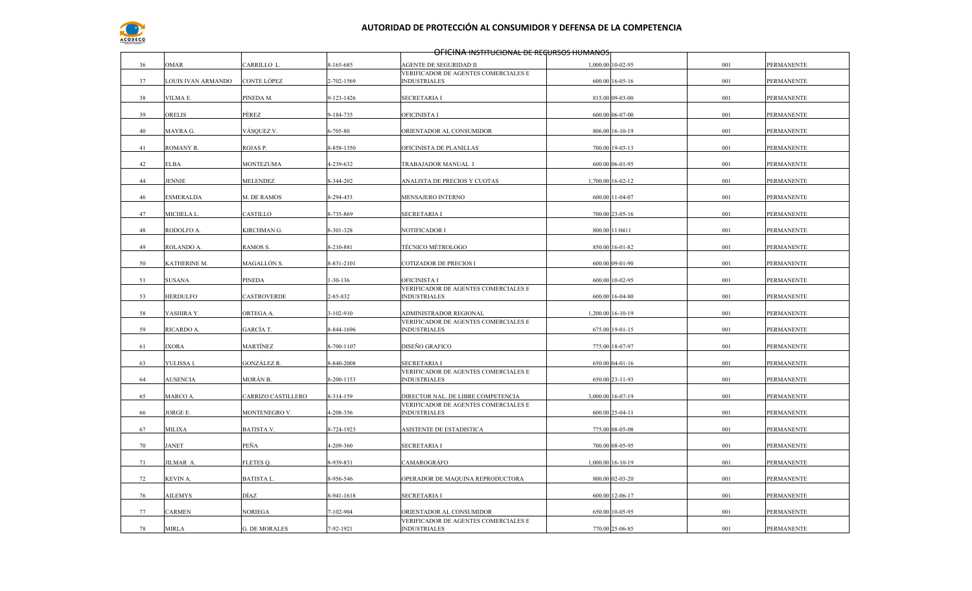

|    |                    |                           |                | OFICINA INSTITUCIONAL DE REGURSOS HUMANOS                   |                   |     |                   |
|----|--------------------|---------------------------|----------------|-------------------------------------------------------------|-------------------|-----|-------------------|
| 36 | OMAR               | CARRILLO L.               | 8-165-685      | AGENTE DE SEGURIDAD II                                      | 1,000.00 10-02-95 | 001 | PERMANENTE        |
| 37 | LOUIS IVAN ARMANDO | CONTE LÓPEZ               | 2-702-1569     | VERIFICADOR DE AGENTES COMERCIALES E<br><b>INDUSTRIALES</b> | 600.00 16-05-16   | 001 | PERMANENTE        |
|    |                    |                           |                |                                                             |                   |     |                   |
| 38 | VILMA E.           | PINEDA M.                 | 9-123-1426     | <b>SECRETARIA I</b>                                         | 815.00 09-03-00   | 001 | <b>PERMANENTE</b> |
| 39 | ORELIS             | PÉREZ                     | 9-184-735      | OFICINISTA I                                                | 600.00 06-07-00   | 001 | <b>PERMANENTE</b> |
| 40 | MAYRA G.           | VÁSQUEZ V.                | 6-705-80       | ORIENTADOR AL CONSUMIDOR                                    | 806.00 16-10-19   | 001 | <b>PERMANENTE</b> |
| 41 | ROMANY R.          | ROJAS P.                  | 8-858-1350     | OFICINISTA DE PLANILLAS                                     | 700.00 19-03-13   | 001 | PERMANENTE        |
| 42 | ELBA               | <b>MONTEZUMA</b>          | 4-239-632      | TRABAJADOR MANUAL I                                         | 600.00 06-01-95   | 001 | PERMANENTE        |
| 44 | <b>JENNIE</b>      | <b>MELENDEZ</b>           | 8-344-202      | ANALISTA DE PRECIOS Y CUOTAS                                | 1,700.00 16-02-12 | 001 | <b>PERMANENTE</b> |
| 46 | <b>ESMERALDA</b>   | M. DE RAMOS               | 8-294-453      | <b>MENSAJERO INTERNO</b>                                    | 600.00 11-04-07   | 001 | PERMANENTE        |
| 47 | MICHELA L.         | CASTILLO                  | 8-735-869      | <b>SECRETARIA I</b>                                         | 700.00 23-05-16   | 001 | <b>PERMANENTE</b> |
| 48 | RODOLFO A.         | KIRCHMAN G.               | 8-301-328      | NOTIFICADOR I                                               | 800.00 11/0411    | 001 | <b>PERMANENTE</b> |
| 49 | ROLANDO A.         | RAMOS S.                  | 8-210-881      | TÉCNICO MÉTROLOGO                                           | 850.00 16-01-82   | 001 | <b>PERMANENTE</b> |
| 50 | KATHERINE M.       | MAGALLÓN S.               | 8-831-2101     | COTIZADOR DE PRECIOS I                                      | 600.00 09-01-90   | 001 | PERMANENTE        |
| 51 | SUSANA             | PINEDA                    | $1 - 30 - 136$ | OFICINISTA I                                                | 600.00 10-02-95   | 001 | PERMANENTE        |
| 53 | <b>HERDULFO</b>    | <b>CASTROVERDE</b>        | 2-85-832       | VERIFICADOR DE AGENTES COMERCIALES E<br><b>INDUSTRIALES</b> | 600.00 16-04-80   | 001 | PERMANENTE        |
| 58 | YASHIRA Y.         | ORTEGA A.                 | 3-102-910      | <b>ADMINISTRADOR REGIONAL</b>                               | 1,200.00 16-10-19 | 001 | <b>PERMANENTE</b> |
| 59 | RICARDO A.         | GARCÍA T.                 | 8-844-1696     | VERIFICADOR DE AGENTES COMERCIALES E<br><b>INDUSTRIALES</b> | 675.00 19-01-15   | 001 | <b>PERMANENTE</b> |
| 61 | IXORA              | MARTÍNEZ                  | 8-700-1107     | DISEÑO GRAFICO                                              | 775.00 18-07-97   | 001 | PERMANENTE        |
| 63 | YULISSA I.         | GONZÁLEZ R.               | 8-840-2008     | <b>SECRETARIA I</b>                                         | 650.00 04-01-16   | 001 | <b>PERMANENTE</b> |
| 64 | <b>AUSENCIA</b>    | MORÁN B.                  | 8-200-1153     | VERIFICADOR DE AGENTES COMERCIALES E<br><b>INDUSTRIALES</b> | 650.00 23-11-93   | 001 | PERMANENTE        |
| 65 | MARCO A.           | <b>CARRIZO CASTILLERO</b> | 8-314-159      | DIRECTOR NAL. DE LIBRE COMPETENCIA                          | 3,000.00 16-07-19 | 001 | <b>PERMANENTE</b> |
| 66 | JORGE E.           | MONTENEGRO V.             | 4-208-356      | VERIFICADOR DE AGENTES COMERCIALES E<br><b>INDUSTRIALES</b> | 600.00 25-04-11   | 001 | <b>PERMANENTE</b> |
| 67 | <b>MILIXA</b>      | <b>BATISTA V.</b>         | 8-724-1923     | ASISTENTE DE ESTADISTICA                                    | 775.00 08-05-08   | 001 | <b>PERMANENTE</b> |
| 70 | <b>JANET</b>       | PEÑA                      | 4-209-360      | <b>SECRETARIA I</b>                                         | 700.00 08-05-95   | 001 | PERMANENTE        |
| 71 | JILMAR A.          | FLETES Q.                 | 8-939-831      | CAMAROGRÁFO                                                 | 1,000.00 16-10-19 | 001 | <b>PERMANENTE</b> |
|    |                    |                           |                |                                                             |                   |     |                   |
| 72 | KEVIN A.           | <b>BATISTAL.</b>          | 8-956-546      | OPERADOR DE MAQUINA REPRODUCTORA                            | 800.00 02-03-20   | 001 | <b>PERMANENTE</b> |
| 76 | AILEMYS            | DÍAZ                      | 8-941-1618     | <b>SECRETARIA I</b>                                         | 600.00 12-06-17   | 001 | <b>PERMANENTE</b> |
| 77 | <b>CARMEN</b>      | <b>NORIEGA</b>            | 7-102-904      | ORIENTADOR AL CONSUMIDOR                                    | 650.00 10-05-95   | 001 | PERMANENTE        |
| 78 | <b>MIRLA</b>       | <b>G. DE MORALES</b>      | 7-92-1921      | VERIFICADOR DE AGENTES COMERCIALES E<br><b>INDUSTRIALES</b> | 770.00 25-06-85   | 001 | <b>PERMANENTE</b> |
|    |                    |                           |                |                                                             |                   |     |                   |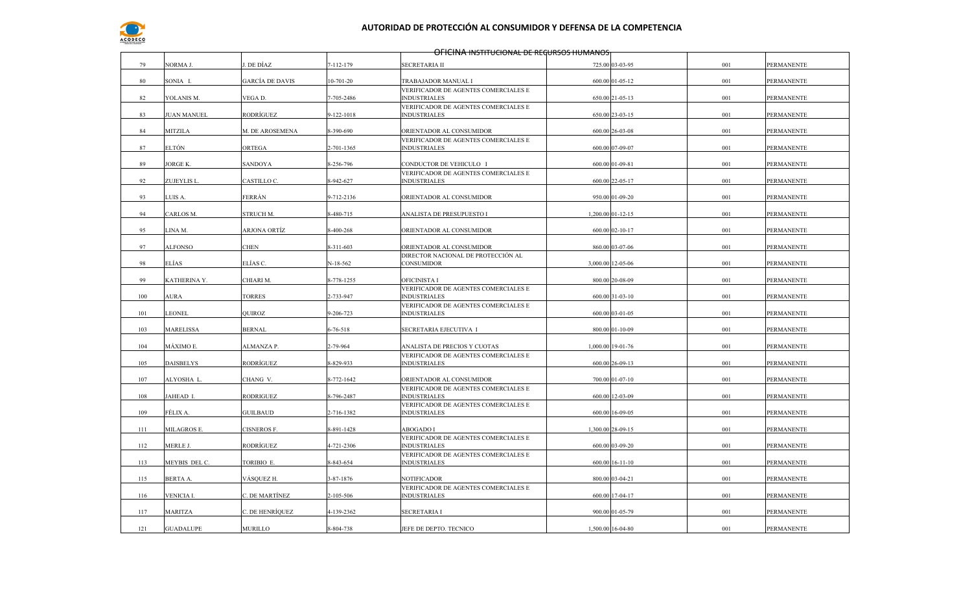

|     |                    |                        |            | <del>OHCINA INSTITUCIONAL DE REGURSOS HUMANOS</del>         |                   |     |                   |
|-----|--------------------|------------------------|------------|-------------------------------------------------------------|-------------------|-----|-------------------|
| 79  | NORMA J.           | I. DE DÍAZ             | 7-112-179  | SECRETARIA II                                               | 725.00 03-03-95   | 001 | PERMANENTE        |
| 80  | SONIA I.           | <b>GARCÍA DE DAVIS</b> | 10-701-20  | TRABAJADOR MANUAL I                                         | 600.00 01-05-12   | 001 | <b>PERMANENTE</b> |
| 82  | YOLANIS M.         | VEGA D.                | 7-705-2486 | VERIFICADOR DE AGENTES COMERCIALES E<br><b>INDUSTRIALES</b> | 650.00 21-05-13   | 001 | PERMANENTE        |
|     |                    |                        |            | VERIFICADOR DE AGENTES COMERCIALES E                        |                   |     |                   |
| 83  | <b>JUAN MANUEL</b> | RODRÍGUEZ              | 9-122-1018 | <b>INDUSTRIALES</b>                                         | 650.00 23-03-15   | 001 | PERMANENTE        |
| 84  | MITZILA            | M. DE AROSEMENA        | 8-390-690  | ORIENTADOR AL CONSUMIDOR                                    | 600.00 26-03-08   | 001 | PERMANENTE        |
| 87  | ELTÓN              | ORTEGA                 | 2-701-1365 | VERIFICADOR DE AGENTES COMERCIALES E<br><b>INDUSTRIALES</b> | 600.00 07-09-07   | 001 | PERMANENTE        |
| 89  | JORGE K.           | SANDOYA                | 8-256-796  | CONDUCTOR DE VEHICULO I                                     | 600.00 01-09-81   | 001 | PERMANENTE        |
| 92  | ZUJEYLIS L         | CASTILLO C.            | 8-942-627  | VERIFICADOR DE AGENTES COMERCIALES E<br><b>INDUSTRIALES</b> | 600.00 22-05-17   | 001 | PERMANENTE        |
| 93  | LUIS A.            | FERRÁN                 | 9-712-2136 | ORIENTADOR AL CONSUMIDOR                                    | 950.00 01-09-20   | 001 | PERMANENTE        |
| 94  | CARLOS M.          | STRUCH M.              | 8-480-715  | ANALISTA DE PRESUPUESTO I                                   | 1,200.00 01-12-15 | 001 | PERMANENTE        |
| 95  | LINA M.            | ARJONA ORTÍZ           | 3-400-268  | ORIENTADOR AL CONSUMIDOR                                    | 600.00 02-10-17   | 001 | PERMANENTE        |
| 97  | <b>ALFONSO</b>     | CHEN                   | 3-311-603  | ORIENTADOR AL CONSUMIDOR                                    | 860.00 03-07-06   | 001 | PERMANENTE        |
| 98  | ELÍAS              | ELÍAS C.               | $N-18-562$ | DIRECTOR NACIONAL DE PROTECCIÓN AL<br>CONSUMIDOR            | 3,000.00 12-05-06 | 001 | PERMANENTE        |
| 99  | KATHERINA Y.       | CHIARI M.              | 8-778-1255 | OFICINISTA I                                                | 800.00 20-08-09   | 001 | PERMANENTE        |
|     |                    |                        |            | VERIFICADOR DE AGENTES COMERCIALES E                        |                   |     |                   |
| 100 | AURA               | <b>TORRES</b>          | 2-733-947  | <b>INDUSTRIALES</b><br>VERIFICADOR DE AGENTES COMERCIALES E | 600.00 31-03-10   | 001 | PERMANENTE        |
| 101 | LEONEL             | <b>OUIROZ</b>          | 9-206-723  | <b>INDUSTRIALES</b>                                         | 600.00 03-01-05   | 001 | PERMANENTE        |
| 103 | <b>MARELISSA</b>   | <b>BERNAL</b>          | 6-76-518   | SECRETARIA EJECUTIVA I                                      | 800.00 01-10-09   | 001 | PERMANENTE        |
| 104 | MÁXIMO E.          | ALMANZA P.             | 2-79-964   | ANALISTA DE PRECIOS Y CUOTAS                                | 1,000.00 19-01-76 | 001 | PERMANENTE        |
| 105 | <b>DAISBELYS</b>   | RODRÍGUEZ              | 8-829-933  | VERIFICADOR DE AGENTES COMERCIALES E<br><b>INDUSTRIALES</b> | 600.00 26-09-13   | 001 | PERMANENTE        |
| 107 | ALYOSHA L.         | CHANG V.               | 8-772-1642 | ORIENTADOR AL CONSUMIDOR                                    | 700.00 01-07-10   | 001 | PERMANENTE        |
|     |                    |                        |            | VERIFICADOR DE AGENTES COMERCIALES E                        |                   |     |                   |
| 108 | JAHEAD I.          | <b>RODRIGUEZ</b>       | 8-796-2487 | <b>INDUSTRIALES</b><br>VERIFICADOR DE AGENTES COMERCIALES E | 600.00 12-03-09   | 001 | PERMANENTE        |
| 109 | FÉLIX A.           | <b>GUILBAUD</b>        | 2-716-1382 | <b>INDUSTRIALES</b>                                         | 600.00 16-09-05   | 001 | PERMANENTE        |
| 111 | MILAGROS E.        | <b>CISNEROS F.</b>     | 8-891-1428 | <b>ABOGADO I</b>                                            | 1,300.00 28-09-15 | 001 | PERMANENTE        |
| 112 | MERLE J.           | RODRÍGUEZ              | 4-721-2306 | VERIFICADOR DE AGENTES COMERCIALES E<br><b>INDUSTRIALES</b> | 600.00 03-09-20   | 001 | PERMANENTE        |
| 113 | MEYBIS DEL C.      | TORIBIO E.             | 8-843-654  | VERIFICADOR DE AGENTES COMERCIALES E<br><b>INDUSTRIALES</b> | 600.00 16-11-10   | 001 | PERMANENTE        |
| 115 | <b>BERTA A.</b>    | VÁSQUEZ H.             | 3-87-1876  | <b>NOTIFICADOR</b>                                          | 800.00 03-04-21   | 001 | PERMANENTE        |
| 116 | VENICIA I.         | C. DE MARTÍNEZ         | 2-105-506  | VERIFICADOR DE AGENTES COMERCIALES E<br><b>INDUSTRIALES</b> | 600.00 17-04-17   | 001 | PERMANENTE        |
| 117 | <b>MARITZA</b>     | C. DE HENRÍQUEZ        | 4-139-2362 | <b>SECRETARIA I</b>                                         | 900.00 01-05-79   | 001 | PERMANENTE        |
|     |                    |                        |            |                                                             |                   |     |                   |
| 121 | <b>GUADALUPE</b>   | MURILLO                | 8-804-738  | JEFE DE DEPTO. TECNICO                                      | 1,500.00 16-04-80 | 001 | PERMANENTE        |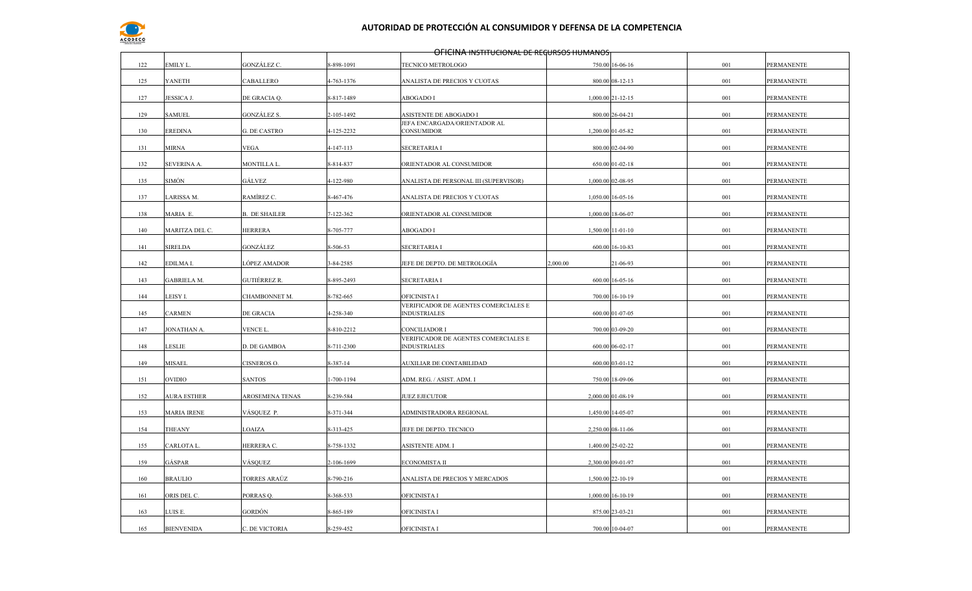

|     |                    |                      |            | OFICINA INSTITUCIONAL DE REGURSOS HUMANOS            |          |                   |     |                   |
|-----|--------------------|----------------------|------------|------------------------------------------------------|----------|-------------------|-----|-------------------|
| 122 | EMILY L.           | GONZÁLEZ C.          | 8-898-1091 | TECNICO METROLOGO                                    |          | 750.00 16-06-16   | 001 | PERMANENTE        |
| 125 | YANETH             | CABALLERO            | 4-763-1376 | ANALISTA DE PRECIOS Y CUOTAS                         |          | 800.00 08-12-13   | 001 | PERMANENTE        |
|     |                    |                      |            |                                                      |          |                   |     |                   |
| 127 | JESSICA J.         | DE GRACIA Q.         | 8-817-1489 | ABOGADO I                                            |          | 1,000.00 21-12-15 | 001 | PERMANENTE        |
| 129 | <b>SAMUEL</b>      | <b>GONZÁLEZ S.</b>   | 2-105-1492 | ASISTENTE DE ABOGADO I                               |          | 800.00 26-04-21   | 001 | PERMANENTE        |
| 130 | EREDINA            | G. DE CASTRO         | 4-125-2232 | JEFA ENCARGADA/ORIENTADOR AL<br>CONSUMIDOR           |          | 1,200.00 01-05-82 | 001 | PERMANENTE        |
| 131 | MIRNA              | <b>VEGA</b>          | 4-147-113  | SECRETARIA I                                         |          | 800.00 02-04-90   | 001 | PERMANENTE        |
| 132 | SEVERINA A.        | MONTILLA L.          | 8-814-837  | ORIENTADOR AL CONSUMIDOR                             |          | 650.00 01-02-18   | 001 | PERMANENTE        |
|     | SIMÓN              | GÁLVEZ               | 4-122-980  |                                                      |          | 1,000.00 02-08-95 |     |                   |
| 135 |                    |                      |            | ANALISTA DE PERSONAL III (SUPERVISOR)                |          |                   | 001 | <b>PERMANENTE</b> |
| 137 | LARISSA M.         | RAMÍREZ C.           | 8-467-476  | ANALISTA DE PRECIOS Y CUOTAS                         |          | 1,050.00 16-05-16 | 001 | PERMANENTE        |
| 138 | MARIA E.           | <b>B. DE SHAILER</b> | 7-122-362  | ORIENTADOR AL CONSUMIDOR                             |          | 1,000.00 18-06-07 | 001 | PERMANENTE        |
| 140 | MARITZA DEL C.     | <b>HERRERA</b>       | 8-705-777  | ABOGADO I                                            |          | 1,500.00 11-01-10 | 001 | PERMANENTE        |
| 141 | <b>SIRELDA</b>     | GONZÁLEZ             | 8-506-53   | <b>SECRETARIA I</b>                                  |          | 600.00 16-10-83   | 001 | PERMANENTE        |
| 142 | EDILMA I.          | LÓPEZ AMADOR         | 3-84-2585  | JEFE DE DEPTO. DE METROLOGÍA                         | 2,000.00 | 21-06-93          | 001 | PERMANENTE        |
| 143 | GABRIELA M.        | GUTIÉRREZ R.         | 8-895-2493 | SECRETARIA I                                         |          | 600.00 16-05-16   | 001 | PERMANENTE        |
|     |                    |                      |            |                                                      |          |                   |     |                   |
| 144 | LEISY I.           | CHAMBONNET M.        | 8-782-665  | OFICINISTA I<br>VERIFICADOR DE AGENTES COMERCIALES E |          | 700.00 16-10-19   | 001 | PERMANENTE        |
| 145 | <b>CARMEN</b>      | DE GRACIA            | 4-258-340  | <b>INDUSTRIALES</b>                                  |          | 600.00 01-07-05   | 001 | PERMANENTE        |
| 147 | JONATHAN A.        | VENCE L.             | 8-810-2212 | CONCILIADOR I                                        |          | 700.00 03-09-20   | 001 | PERMANENTE        |
|     |                    |                      |            | VERIFICADOR DE AGENTES COMERCIALES E                 |          |                   |     |                   |
| 148 | LESLIE             | D. DE GAMBOA         | 8-711-2300 | <b>INDUSTRIALES</b>                                  |          | 600.00 06-02-17   | 001 | PERMANENTE        |
| 149 | MISAEL             | CISNEROS O.          | 8-387-14   | AUXILIAR DE CONTABILIDAD                             |          | 600.00 03-01-12   | 001 | PERMANENTE        |
| 151 | OVIDIO             | <b>SANTOS</b>        | 1-700-1194 | ADM. REG. / ASIST. ADM. I                            |          | 750.00 18-09-06   | 001 | PERMANENTE        |
| 152 | <b>AURA ESTHER</b> | AROSEMENA TENAS      | 8-239-584  | JUEZ EJECUTOR                                        |          | 2,000.00 01-08-19 | 001 | PERMANENTE        |
| 153 | <b>MARIA IRENE</b> | VÁSQUEZ P.           | 8-371-344  | ADMINISTRADORA REGIONAL                              |          | 1,450.00 14-05-07 | 001 | PERMANENTE        |
| 154 | THEANY             | LOAIZA               | 8-313-425  |                                                      |          | 2,250.00 08-11-06 | 001 | <b>PERMANENTE</b> |
|     |                    |                      |            | JEFE DE DEPTO. TECNICO                               |          |                   |     |                   |
| 155 | CARLOTA L          | HERRERA C.           | 8-758-1332 | ASISTENTE ADM. I                                     |          | 1,400.00 25-02-22 | 001 | PERMANENTE        |
| 159 | GÁSPAR             | VÁSQUEZ              | 2-106-1699 | ECONOMISTA II                                        |          | 2,300.00 09-01-97 | 001 | <b>PERMANENTE</b> |
| 160 | <b>BRAULIO</b>     | <b>TORRES ARAÚZ</b>  | 8-790-216  | ANALISTA DE PRECIOS Y MERCADOS                       |          | 1,500.00 22-10-19 | 001 | PERMANENTE        |
| 161 | ORIS DEL C.        | PORRAS Q.            | 8-368-533  | OFICINISTA I                                         |          | 1,000.00 16-10-19 | 001 | PERMANENTE        |
| 163 | LUIS E.            | GORDÓN               | 8-865-189  | OFICINISTA I                                         |          | 875.00 23-03-21   | 001 | PERMANENTE        |
| 165 | <b>BIENVENIDA</b>  | C. DE VICTORIA       | 8-259-452  | OFICINISTA I                                         |          | 700.00 10-04-07   | 001 | PERMANENTE        |
|     |                    |                      |            |                                                      |          |                   |     |                   |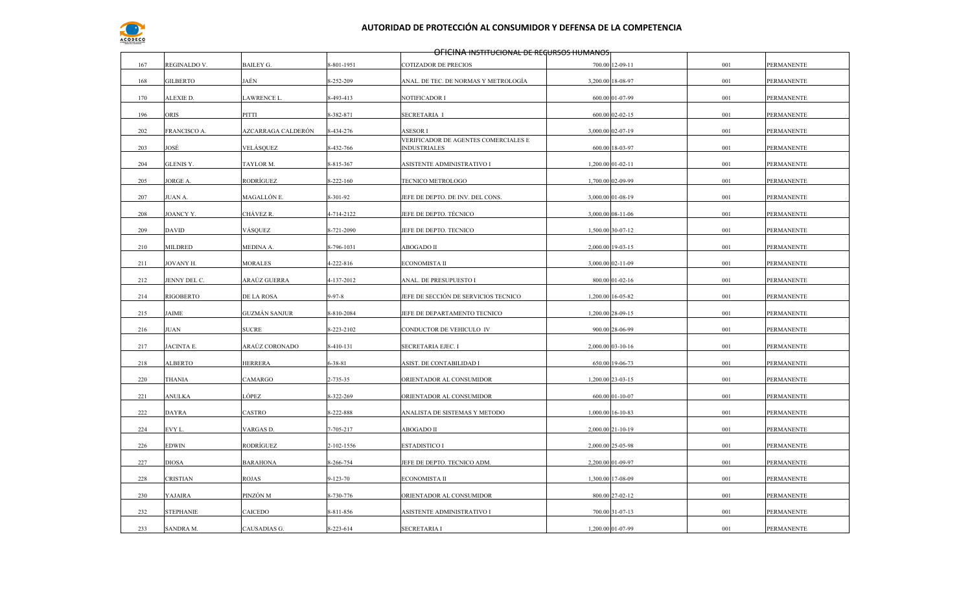

|     |                  |                      |                | OHCINA INSTITUCIONAL DE REGURSOS HUMANOS                    |                   |     |                   |
|-----|------------------|----------------------|----------------|-------------------------------------------------------------|-------------------|-----|-------------------|
| 167 | REGINALDO V.     | BAILEY G.            | 8-801-1951     | COTIZADOR DE PRECIOS                                        | 700.00 12-09-11   | 001 | PERMANENTE        |
| 168 | GILBERTO         | JAÉN                 | 8-252-209      | ANAL. DE TEC. DE NORMAS Y METROLOGÍA                        | 3,200.00 18-08-97 | 001 | <b>PERMANENTE</b> |
| 170 | ALEXIE D.        | LAWRENCE L.          | 8-493-413      | NOTIFICADOR I                                               | 600.00 01-07-99   | 001 | PERMANENTE        |
| 196 | ORIS             | PITTI                | 8-382-871      | SECRETARIA I                                                | 600.00 02-02-15   | 001 | <b>PERMANENTE</b> |
| 202 | FRANCISCO A.     | AZCARRAGA CALDERÓN   | 8-434-276      | <b>ASESOR I</b>                                             | 3,000.00 02-07-19 | 001 | PERMANENTE        |
| 203 | JOSÉ             | VELÁSQUEZ            | 8-432-766      | VERIFICADOR DE AGENTES COMERCIALES E<br><b>INDUSTRIALES</b> | 600.00 18-03-97   | 001 | PERMANENTE        |
| 204 | GLENIS Y.        | TAYLOR M.            | 8-815-367      | ASISTENTE ADMINISTRATIVO I                                  | 1,200.00 01-02-11 | 001 | PERMANENTE        |
| 205 | JORGE A.         | RODRÍGUEZ            | 8-222-160      | TECNICO METROLOGO                                           | 1,700.00 02-09-99 | 001 | PERMANENTE        |
| 207 | JUAN A.          | MAGALLÓN E.          | 8-301-92       | JEFE DE DEPTO. DE INV. DEL CONS.                            | 3,000.00 01-08-19 | 001 | PERMANENTE        |
| 208 | JOANCY Y.        | CHÁVEZ R.            | 4-714-2122     | JEFE DE DEPTO. TÉCNICO                                      | 3,000.00 08-11-06 | 001 | <b>PERMANENTE</b> |
| 209 | DAVID            | VÁSQUEZ              | 8-721-2090     | JEFE DE DEPTO. TECNICO                                      | 1,500.00 30-07-12 | 001 | PERMANENTE        |
| 210 | MILDRED          | MEDINA A.            | 8-796-1031     | ABOGADO II                                                  | 2,000.00 19-03-15 | 001 | PERMANENTE        |
| 211 | JOVANY H.        | MORALES              | 4-222-816      | ECONOMISTA II                                               | 3,000.00 02-11-09 | 001 | PERMANENTE        |
| 212 | JENNY DEL C.     | ARAÚZ GUERRA         | 4-137-2012     | ANAL. DE PRESUPUESTO I                                      | 800.00 01-02-16   | 001 | PERMANENTE        |
|     |                  |                      |                |                                                             |                   |     |                   |
| 214 | RIGOBERTO        | DE LA ROSA           | $9 - 97 - 8$   | JEFE DE SECCIÓN DE SERVICIOS TECNICO                        | 1,200.00 16-05-82 | 001 | PERMANENTE        |
| 215 | JAIME            | <b>GUZMÁN SANJUR</b> | 8-810-2084     | JEFE DE DEPARTAMENTO TECNICO                                | 1,200.00 28-09-15 | 001 | <b>PERMANENTE</b> |
| 216 | <b>JUAN</b>      | <b>SUCRE</b>         | 8-223-2102     | CONDUCTOR DE VEHICULO IV                                    | 900.00 28-06-99   | 001 | PERMANENTE        |
| 217 | JACINTA E.       | ARAÚZ CORONADO       | 8-410-131      | SECRETARIA EJEC. I                                          | 2,000.00 03-10-16 | 001 | <b>PERMANENTE</b> |
| 218 | ALBERTO          | <b>HERRERA</b>       | $6 - 38 - 81$  | ASIST. DE CONTABILIDAD I                                    | 650.00 19-06-73   | 001 | PERMANENTE        |
| 220 | THANIA           | CAMARGO              | 2-735-35       | ORIENTADOR AL CONSUMIDOR                                    | 1,200.00 23-03-15 | 001 | <b>PERMANENTE</b> |
| 221 | ANULKA           | LÓPEZ                | 8-322-269      | ORIENTADOR AL CONSUMIDOR                                    | 600.00 01-10-07   | 001 | PERMANENTE        |
| 222 | DAYRA            | CASTRO               | 8-222-888      | ANALISTA DE SISTEMAS Y METODO                               | 1,000.00 16-10-83 | 001 | PERMANENTE        |
| 224 | EVY L.           | VARGAS D.            | 7-705-217      | ABOGADO II                                                  | 2,000.00 21-10-19 | 001 | PERMANENTE        |
| 226 | EDWIN            | RODRÍGUEZ            | 2-102-1556     | ESTADISTICO I                                               | 2,000.00 25-05-98 | 001 | PERMANENTE        |
| 227 | <b>DIOSA</b>     | <b>BARAHONA</b>      | 8-266-754      | JEFE DE DEPTO. TECNICO ADM.                                 | 2,200.00 01-09-97 | 001 | PERMANENTE        |
| 228 | CRISTIAN         | <b>ROJAS</b>         | $9 - 123 - 70$ | <b>ECONOMISTA II</b>                                        | 1,300.00 17-08-09 | 001 | <b>PERMANENTE</b> |
| 230 | YAJAIRA          | PINZÓN M             | 8-730-776      | ORIENTADOR AL CONSUMIDOR                                    | 800.00 27-02-12   | 001 | <b>PERMANENTE</b> |
| 232 | <b>STEPHANIE</b> | CAICEDO              | 8-811-856      | ASISTENTE ADMINISTRATIVO I                                  | 700.00 31-07-13   | 001 | PERMANENTE        |
| 233 | SANDRA M.        | CAUSADIAS G.         | 8-223-614      | <b>SECRETARIA I</b>                                         |                   | 001 |                   |
|     |                  |                      |                |                                                             | 1,200.00 01-07-99 |     | <b>PERMANENTE</b> |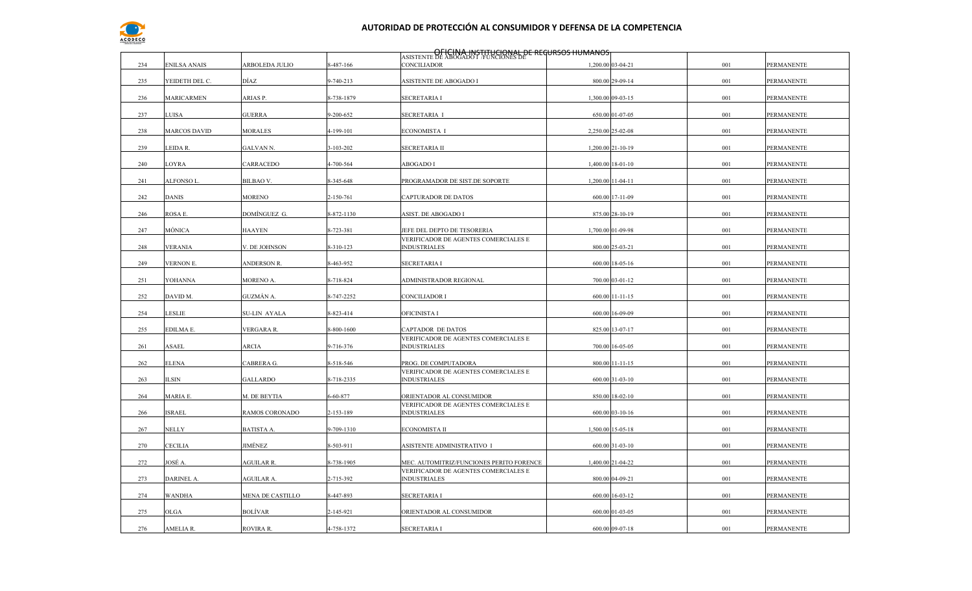

| 234 | ENILSA ANAIS        | ARBOLEDA JULIO          | 3-487-166  | <b>OFICINA INSTITUCIONAL DE REGURSOS HUMANOS</b><br>ASISTENTE DE ABOGADO I /FUNCIONES DE<br><b>CONCILIADOR</b> | 1,200.00 03-04-21 | 001 | PERMANENTE        |
|-----|---------------------|-------------------------|------------|----------------------------------------------------------------------------------------------------------------|-------------------|-----|-------------------|
| 235 | YEIDETH DEL C.      | DÍAZ                    | 9-740-213  | ASISTENTE DE ABOGADO I                                                                                         | 800.00 29-09-14   | 001 | PERMANENTE        |
| 236 | <b>MARICARMEN</b>   | ARIAS P.                | 3-738-1879 | <b>SECRETARIA I</b>                                                                                            | 1,300.00 09-03-15 | 001 | <b>PERMANENTE</b> |
| 237 | LUISA               | <b>GUERRA</b>           | 9-200-652  | <b>SECRETARIA I</b>                                                                                            | 650.00 01-07-05   | 001 | <b>PERMANENTE</b> |
|     |                     |                         |            |                                                                                                                |                   |     |                   |
| 238 | <b>MARCOS DAVID</b> | <b>MORALES</b>          | 4-199-101  | ECONOMISTA I                                                                                                   | 2,250.00 25-02-08 | 001 | PERMANENTE        |
| 239 | EIDA R.             | GALVAN N.               | 3-103-202  | <b>SECRETARIA II</b>                                                                                           | 1,200.00 21-10-19 | 001 | PERMANENTE        |
| 240 | <b>OYRA</b>         | CARRACEDO               | 4-700-564  | ABOGADO I                                                                                                      | 1,400.00 18-01-10 | 001 | PERMANENTE        |
| 241 | ALFONSO L.          | BILBAO V.               | 8-345-648  | PROGRAMADOR DE SIST.DE SOPORTE                                                                                 | 1,200.00 11-04-11 | 001 | <b>PERMANENTE</b> |
| 242 | <b>DANIS</b>        | <b>MORENO</b>           | 2-150-761  | <b>CAPTURADOR DE DATOS</b>                                                                                     | 600.00 17-11-09   | 001 | PERMANENTE        |
| 246 | ROSA E.             | DOMÍNGUEZ G.            | 8-872-1130 | ASIST. DE ABOGADO I                                                                                            | 875.00 28-10-19   | 001 | <b>PERMANENTE</b> |
| 247 | MÓNICA              | <b>HAAYEN</b>           | 8-723-381  | JEFE DEL DEPTO DE TESORERIA                                                                                    | 1,700.00 01-09-98 | 001 | PERMANENTE        |
| 248 | VERANIA             | V. DE JOHNSON           | 8-310-123  | VERIFICADOR DE AGENTES COMERCIALES E<br><b>INDUSTRIALES</b>                                                    | 800.00 25-03-21   | 001 | <b>PERMANENTE</b> |
| 249 | VERNON E.           | ANDERSON R.             | 8-463-952  | <b>SECRETARIA I</b>                                                                                            | 600.00 18-05-16   | 001 | <b>PERMANENTE</b> |
| 251 | YOHANNA             | MORENO A.               | 8-718-824  | ADMINISTRADOR REGIONAL                                                                                         | 700.00 03-01-12   | 001 | <b>PERMANENTE</b> |
|     |                     |                         |            |                                                                                                                |                   |     |                   |
| 252 | DAVID M.            | GUZMÁN A.               | 8-747-2252 | <b>CONCILIADOR I</b>                                                                                           | 600.00 11-11-15   | 001 | PERMANENTE        |
| 254 | LESLIE              | SU-LIN AYALA            | 3-823-414  | OFICINISTA I                                                                                                   | 600.00 16-09-09   | 001 | <b>PERMANENTE</b> |
| 255 | EDILMA E.           | VERGARA R.              | 3-800-1600 | <b>CAPTADOR DE DATOS</b>                                                                                       | 825.00 13-07-17   | 001 | <b>PERMANENTE</b> |
| 261 | ASAEL               | ARCIA                   | 9-716-376  | VERIFICADOR DE AGENTES COMERCIALES E<br><b>INDUSTRIALES</b>                                                    | 700.00 16-05-05   | 001 | PERMANENTE        |
| 262 | ELENA               | CABRERA G.              | 8-518-546  | PROG. DE COMPUTADORA                                                                                           | 800.00 11-11-15   | 001 | <b>PERMANENTE</b> |
| 263 | <b>ILSIN</b>        | <b>GALLARDO</b>         | 8-718-2335 | VERIFICADOR DE AGENTES COMERCIALES E<br><b>INDUSTRIALES</b>                                                    | 600.00 31-03-10   | 001 | PERMANENTE        |
| 264 | MARIA E.            | M. DE BEYTIA            | 6-60-877   | ORIENTADOR AL CONSUMIDOR                                                                                       | 850.00 18-02-10   | 001 | PERMANENTE        |
|     |                     |                         |            | VERIFICADOR DE AGENTES COMERCIALES E                                                                           |                   |     |                   |
| 266 | <b>ISRAEL</b>       | RAMOS CORONADO          | 2-153-189  | <b>INDUSTRIALES</b>                                                                                            | 600.00 03-10-16   | 001 | PERMANENTE        |
| 267 | NELLY               | BATISTA A.              | 9-709-1310 | <b>ECONOMISTA II</b>                                                                                           | 1,500.00 15-05-18 | 001 | <b>PERMANENTE</b> |
| 270 | CECILIA             | JIMÉNEZ                 | 8-503-911  | ASISTENTE ADMINISTRATIVO 1                                                                                     | 600.00 31-03-10   | 001 | PERMANENTE        |
| 272 | JOSÉ A.             | AGUILAR R.              | 8-738-1905 | MEC. AUTOMITRIZ/FUNCIONES PERITO FORENCE                                                                       | 1,400.00 21-04-22 | 001 | <b>PERMANENTE</b> |
| 273 | <b>DARINEL A.</b>   | AGUILAR A.              | 2-715-392  | VERIFICADOR DE AGENTES COMERCIALES E<br><b>INDUSTRIALES</b>                                                    | 800.00 04-09-21   | 001 | <b>PERMANENTE</b> |
| 274 | <b>WANDHA</b>       | <b>MENA DE CASTILLO</b> | 8-447-893  | <b>SECRETARIA I</b>                                                                                            | 600.00 16-03-12   | 001 | <b>PERMANENTE</b> |
| 275 | OLGA                | <b>BOLÍVAR</b>          | 2-145-921  | ORIENTADOR AL CONSUMIDOR                                                                                       | 600.00 01-03-05   | 001 | PERMANENTE        |
|     |                     |                         |            |                                                                                                                |                   |     |                   |
| 276 | AMELIA R.           | ROVIRA R.               | 4-758-1372 | <b>SECRETARIA I</b>                                                                                            | 600.00 09-07-18   | 001 | <b>PERMANENTE</b> |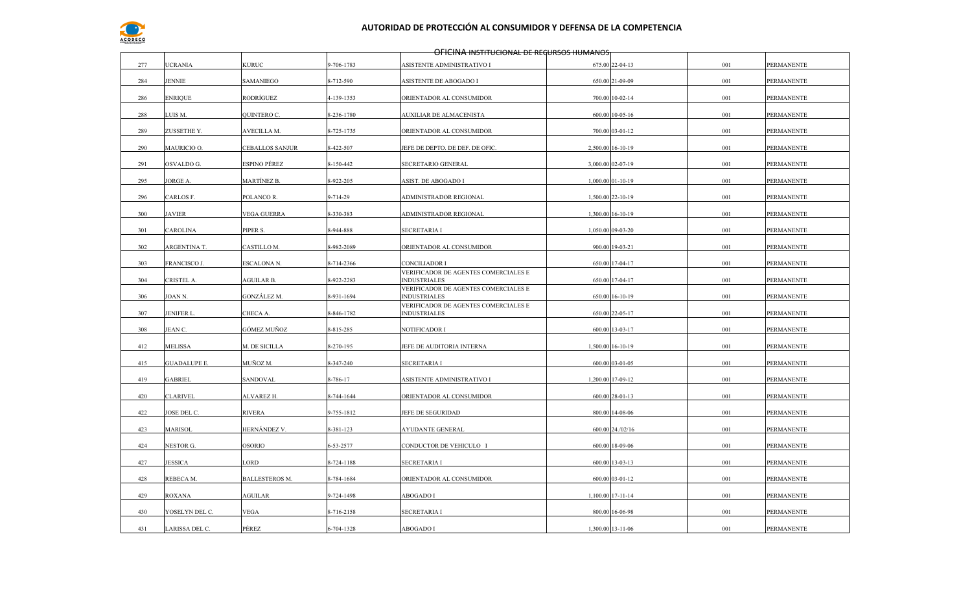

|     |                |                       |            | OFICINA INSTITUCIONAL DE REGURSOS HUMANOS                   |                   |         |                   |
|-----|----------------|-----------------------|------------|-------------------------------------------------------------|-------------------|---------|-------------------|
| 277 | <b>JCRANIA</b> | KURUC                 | 9-706-1783 | ASISTENTE ADMINISTRATIVO I                                  | 675.00 22-04-13   | 001     | PERMANENTE        |
| 284 | JENNIE         | SAMANIEGO             | 8-712-590  | ASISTENTE DE ABOGADO I                                      | 650.00 21-09-09   | 001     | PERMANENTE        |
| 286 | <b>ENRIQUE</b> | RODRÍGUEZ             | 4-139-1353 | ORIENTADOR AL CONSUMIDOR                                    | 700.00 10-02-14   | 001     | <b>PERMANENTE</b> |
| 288 | LUIS M.        | QUINTERO C.           | 8-236-1780 | AUXILIAR DE ALMACENISTA                                     | 600.00 10-05-16   | 001     | <b>PERMANENTE</b> |
| 289 | ZUSSETHE Y.    | AVECILLA M.           | 8-725-1735 | ORIENTADOR AL CONSUMIDOR                                    | 700.00 03-01-12   | 001     | <b>PERMANENTE</b> |
| 290 | MAURICIO O.    | CEBALLOS SANJUR       | 8-422-507  | JEFE DE DEPTO. DE DEF. DE OFIC.                             | 2,500.00 16-10-19 | 001     | PERMANENTE        |
| 291 | OSVALDO G.     | ESPINO PÉREZ          | 8-150-442  | SECRETARIO GENERAL                                          | 3,000.00 02-07-19 | 001     | PERMANENTE        |
| 295 | JORGE A.       | MARTÍNEZ B.           | 8-922-205  | ASIST. DE ABOGADO I                                         | 1,000.00 01-10-19 | 001     | <b>PERMANENTE</b> |
| 296 | CARLOS F.      | POLANCO R.            | 9-714-29   | ADMINISTRADOR REGIONAL                                      | 1,500.00 22-10-19 | 001     | PERMANENTE        |
| 300 | <b>JAVIER</b>  | VEGA GUERRA           | 8-330-383  | ADMINISTRADOR REGIONAL                                      | 1,300.00 16-10-19 | 001     | <b>PERMANENTE</b> |
| 301 | CAROLINA       | PIPER S.              | 3-944-888  | <b>SECRETARIA I</b>                                         | 1,050.00 09-03-20 | 001     | <b>PERMANENTE</b> |
| 302 | ARGENTINA T.   | CASTILLO M.           | 3-982-2089 | ORIENTADOR AL CONSUMIDOR                                    | 900.00 19-03-21   | 001     | <b>PERMANENTE</b> |
| 303 | FRANCISCO J.   | ESCALONA N.           | 8-714-2366 | <b>CONCILIADOR I</b>                                        | 650.00 17-04-17   | 001     | PERMANENTE        |
| 304 | CRISTEL A.     | AGUILAR B.            | 8-922-2283 | VERIFICADOR DE AGENTES COMERCIALES E<br><b>INDUSTRIALES</b> | 650.00 17-04-17   | 001     | <b>PERMANENTE</b> |
| 306 | JOAN N.        | GONZÁLEZ M.           | 8-931-1694 | VERIFICADOR DE AGENTES COMERCIALES E<br><b>INDUSTRIALES</b> | 650.00 16-10-19   | $001\,$ | PERMANENTE        |
| 307 | JENIFER L.     | CHECA A.              | 8-846-1782 | VERIFICADOR DE AGENTES COMERCIALES E<br><b>INDUSTRIALES</b> | 650.00 22-05-17   | 001     | <b>PERMANENTE</b> |
| 308 | JEAN C.        | GÓMEZ MUÑOZ           | 8-815-285  | NOTIFICADOR I                                               | 600.00 13-03-17   | 001     | PERMANENTE        |
| 412 | <b>MELISSA</b> | M. DE SICILLA         | 8-270-195  | JEFE DE AUDITORIA INTERNA                                   | 1,500.00 16-10-19 | 001     | PERMANENTE        |
| 415 | GUADALUPE E.   | MUÑOZ M.              | 8-347-240  | <b>SECRETARIA I</b>                                         | 600.00 03-01-05   | 001     | PERMANENTE        |
| 419 | GABRIEL        | SANDOVAL              | 8-786-17   | ASISTENTE ADMINISTRATIVO I                                  | 1,200.00 17-09-12 | 001     | PERMANENTE        |
| 420 | CLARIVEL       | ALVAREZ H.            | 8-744-1644 | ORIENTADOR AL CONSUMIDOR                                    | 600.00 28-01-13   | 001     | PERMANENTE        |
| 422 | JOSE DEL C.    | <b>RIVERA</b>         | 9-755-1812 | JEFE DE SEGURIDAD                                           | 800.00 14-08-06   | 001     | PERMANENTE        |
| 423 | <b>MARISOL</b> | HERNÁNDEZ V.          | 8-381-123  | <b>AYUDANTE GENERAL</b>                                     | 600.00 24./02/16  | 001     | PERMANENTE        |
| 424 | NESTOR G.      | OSORIO                | 6-53-2577  | CONDUCTOR DE VEHICULO I                                     | 600.00 18-09-06   | 001     | PERMANENTE        |
| 427 | <b>JESSICA</b> | LORD                  | 8-724-1188 | <b>SECRETARIA I</b>                                         | 600.00 13-03-13   | 001     | <b>PERMANENTE</b> |
| 428 | REBECA M.      | <b>BALLESTEROS M.</b> | 8-784-1684 | ORIENTADOR AL CONSUMIDOR                                    | 600.00 03-01-12   | 001     | <b>PERMANENTE</b> |
| 429 | ROXANA         | <b>AGUILAR</b>        | 9-724-1498 | <b>ABOGADO I</b>                                            | 1,100.00 17-11-14 | 001     | <b>PERMANENTE</b> |
| 430 | YOSELYN DEL C. | VEGA                  | 3-716-2158 | <b>SECRETARIA I</b>                                         | 800.00 16-06-98   | 001     | PERMANENTE        |
| 431 | LARISSA DEL C. | PÉREZ                 | 6-704-1328 | <b>ABOGADO I</b>                                            | 1,300.00 13-11-06 | 001     | PERMANENTE        |
|     |                |                       |            |                                                             |                   |         |                   |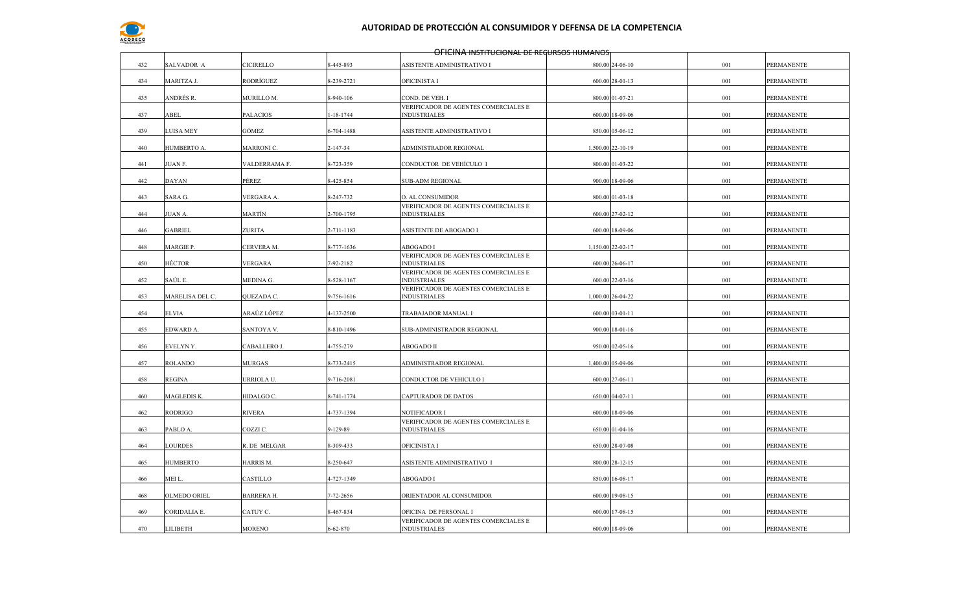

|     |                     |                   |                | OFICINA INSTITUCIONAL DE REGURSOS HUMANOS                   |                   |     |                   |
|-----|---------------------|-------------------|----------------|-------------------------------------------------------------|-------------------|-----|-------------------|
| 432 | SALVADOR A          | CICIRELLO         | 8-445-893      | ASISTENTE ADMINISTRATIVO I                                  | 800.00 24-06-10   | 001 | PERMANENTE        |
| 434 | MARITZA J.          | RODRÍGUEZ         | 8-239-2721     | OFICINISTA I                                                | 600.00 28-01-13   | 001 | PERMANENTE        |
| 435 | ANDRÉS R.           | MURILLO M.        | 8-940-106      | COND. DE VEH. I                                             | 800.00 01-07-21   | 001 | PERMANENTE        |
|     |                     |                   |                | VERIFICADOR DE AGENTES COMERCIALES E                        |                   |     |                   |
| 437 | ABEL                | PALACIOS          | 1-18-1744      | <b>INDUSTRIALES</b>                                         | 600.00 18-09-06   | 001 | PERMANENTE        |
| 439 | LUISA MEY           | GÓMEZ             | 6-704-1488     | ASISTENTE ADMINISTRATIVO I                                  | 850.00 05-06-12   | 001 | PERMANENTE        |
| 440 | HUMBERTO A.         | MARRONI C.        | 2-147-34       | ADMINISTRADOR REGIONAL                                      | 1,500.00 22-10-19 | 001 | PERMANENTE        |
| 441 | JUAN F.             | VALDERRAMA F.     | 8-723-359      | CONDUCTOR DE VEHÍCULO I                                     | 800.00 01-03-22   | 001 | PERMANENTE        |
| 442 | <b>DAYAN</b>        | PÉREZ             | 8-425-854      | <b>SUB-ADM REGIONAL</b>                                     | 900.00 18-09-06   | 001 | <b>PERMANENTE</b> |
| 443 | SARA G.             | VERGARA A.        | 8-247-732      | O. AL CONSUMIDOR                                            | 800.00 01-03-18   | 001 | PERMANENTE        |
|     |                     |                   |                | VERIFICADOR DE AGENTES COMERCIALES E                        |                   |     |                   |
| 444 | JUAN A.             | <b>MARTÍN</b>     | 2-700-1795     | <b>INDUSTRIALES</b>                                         | 600.00 27-02-12   | 001 | PERMANENTE        |
| 446 | <b>GABRIEL</b>      | <b>ZURITA</b>     | 2-711-1183     | ASISTENTE DE ABOGADO I                                      | 600.00 18-09-06   | 001 | PERMANENTE        |
| 448 | MARGIE P.           | CERVERA M.        | 8-777-1636     | ABOGADO I                                                   | 1,150.00 22-02-17 | 001 | PERMANENTE        |
| 450 | HÉCTOR              | <b>VERGARA</b>    | 7-92-2182      | VERIFICADOR DE AGENTES COMERCIALES E<br>INDUSTRIALES        | 600.00 26-06-17   | 001 | PERMANENTE        |
| 452 | SAÚL E.             | MEDINA G.         | 8-528-1167     | VERIFICADOR DE AGENTES COMERCIALES E<br><b>NDUSTRIALES</b>  | 600.00 22-03-16   | 001 | PERMANENTE        |
| 453 | MARELISA DEL C.     | QUEZADA C.        | 9-756-1616     | VERIFICADOR DE AGENTES COMERCIALES E<br><b>INDUSTRIALES</b> | 1,000.00 26-04-22 | 001 | PERMANENTE        |
| 454 | <b>ELVIA</b>        | ARAÚZ LÓPEZ       | 4-137-2500     | TRABAJADOR MANUAL I                                         | 600.00 03-01-11   | 001 | PERMANENTE        |
|     |                     |                   |                |                                                             |                   |     |                   |
| 455 | EDWARD A.           | SANTOYA V.        | 8-810-1496     | SUB-ADMINISTRADOR REGIONAL                                  | 900.00 18-01-16   | 001 | PERMANENTE        |
| 456 | EVELYNY.            | CABALLERO J.      | 4-755-279      | ABOGADO II                                                  | 950.00 02-05-16   | 001 | PERMANENTE        |
| 457 | ROLANDO             | MURGAS            | 8-733-2415     | ADMINISTRADOR REGIONAL                                      | 1,400.00 05-09-06 | 001 | PERMANENTE        |
| 458 | REGINA              | URRIOLA U.        | 9-716-2081     | CONDUCTOR DE VEHICULO I                                     | 600.00 27-06-11   | 001 | PERMANENTE        |
| 460 | MAGLEDIS K.         | HIDALGO C.        | 8-741-1774     | CAPTURADOR DE DATOS                                         | 650.00 04-07-11   | 001 | PERMANENTE        |
|     |                     |                   |                |                                                             |                   |     |                   |
| 462 | RODRIGO             | <b>RIVERA</b>     | 4-737-1394     | NOTIFICADOR I<br>VERIFICADOR DE AGENTES COMERCIALES E       | 600.00 18-09-06   | 001 | PERMANENTE        |
| 463 | PABLO A.            | COZZI C.          | 9-129-89       | <b>INDUSTRIALES</b>                                         | 650.00 01-04-16   | 001 | <b>PERMANENTE</b> |
| 464 | LOURDES             | R. DE MELGAR      | 8-309-433      | OFICINISTA I                                                | 650.00 28-07-08   | 001 | PERMANENTE        |
| 465 | <b>HUMBERTO</b>     | HARRIS M.         | 8-250-647      | ASISTENTE ADMINISTRATIVO 1                                  | 800.00 28-12-15   | 001 | PERMANENTE        |
| 466 | MEI L.              | CASTILLO          | 4-727-1349     | ABOGADO I                                                   | 850.00 16-08-17   | 001 | PERMANENTE        |
| 468 | <b>OLMEDO ORIEL</b> | <b>BARRERA H.</b> | 7-72-2656      | ORIENTADOR AL CONSUMIDOR                                    | 600.00 19-08-15   | 001 | <b>PERMANENTE</b> |
| 469 | CORIDALIA E.        | CATUY C.          | 8-467-834      | OFICINA DE PERSONAL I                                       | 600.00 17-08-15   | 001 | PERMANENTE        |
|     |                     |                   |                | VERIFICADOR DE AGENTES COMERCIALES E                        |                   |     |                   |
| 470 | LILIBETH            | <b>MORENO</b>     | $6 - 62 - 870$ | <b>INDUSTRIALES</b>                                         | 600.00 18-09-06   | 001 | <b>PERMANENTE</b> |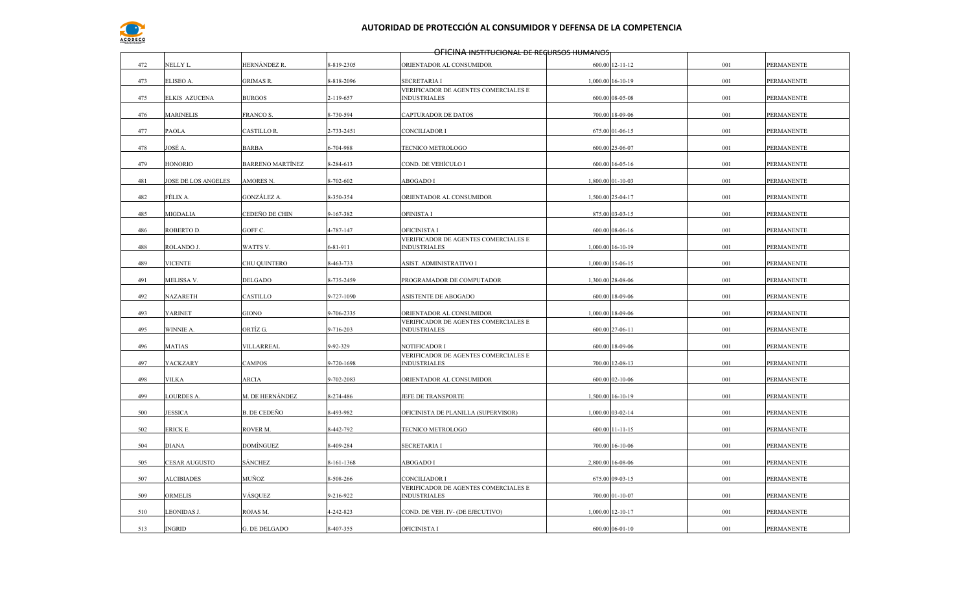

|     |                     |                      |            | <del>OHCINA INSTITUCIONAL DE REGURSOS HUMANOS</del>         |                   |     |                   |
|-----|---------------------|----------------------|------------|-------------------------------------------------------------|-------------------|-----|-------------------|
| 472 | NELLY L.            | HERNÁNDEZ R.         | 8-819-2305 | ORIENTADOR AL CONSUMIDOR                                    | 600.00 12-11-12   | 001 | PERMANENTE        |
| 473 | ELISEO A.           | GRIMAS R.            | 8-818-2096 | SECRETARIA I                                                | 1,000.00 16-10-19 | 001 | <b>PERMANENTE</b> |
| 475 | ELKIS AZUCENA       | <b>BURGOS</b>        | 2-119-657  | VERIFICADOR DE AGENTES COMERCIALES E<br><b>NDUSTRIALES</b>  | 600.00 08-05-08   | 001 | PERMANENTE        |
|     |                     |                      |            |                                                             |                   |     |                   |
| 476 | <b>MARINELIS</b>    | FRANCO S.            | 8-730-594  | CAPTURADOR DE DATOS                                         | 700.00 18-09-06   | 001 | PERMANENTE        |
| 477 | PAOLA               | CASTILLOR.           | 2-733-2451 | CONCILIADOR I                                               | 675.00 01-06-15   | 001 | PERMANENTE        |
| 478 | JOSÉ A.             | <b>BARBA</b>         | 6-704-988  | TECNICO METROLOGO                                           | 600.00 25-06-07   | 001 | PERMANENTE        |
| 479 | HONORIO             | BARRENO MARTÍNEZ     | 8-284-613  | COND. DE VEHÍCULO I                                         | 600.00 16-05-16   | 001 | PERMANENTE        |
| 481 | JOSE DE LOS ANGELES | AMORES <sub>N.</sub> | 8-702-602  | ABOGADO I                                                   | 1,800.00 01-10-03 | 001 | PERMANENTE        |
| 482 | FÉLIX A.            | GONZÁLEZ A.          | 8-350-354  | ORIENTADOR AL CONSUMIDOR                                    | 1,500.00 25-04-17 | 001 | <b>PERMANENTE</b> |
| 485 | MIGDALIA            | CEDEÑO DE CHIN       | 9-167-382  | OFINISTA I                                                  | 875.00 03-03-15   | 001 | PERMANENTE        |
| 486 | ROBERTO D.          | GOFF C.              | 4-787-147  | OFICINISTA I                                                | 600.00 08-06-16   | 001 | PERMANENTE        |
| 488 | ROLANDO J.          | WATTS V.             | 6-81-911   | VERIFICADOR DE AGENTES COMERCIALES E<br><b>INDUSTRIALES</b> | 1,000.00 16-10-19 | 001 | PERMANENTE        |
| 489 | <b>VICENTE</b>      | CHU QUINTERO         | 8-463-733  | ASIST. ADMINISTRATIVO I                                     | 1,000.00 15-06-15 | 001 | PERMANENTE        |
|     |                     |                      |            |                                                             |                   |     |                   |
| 491 | MELISSA V.          | DELGADO              | 8-735-2459 | PROGRAMADOR DE COMPUTADOR                                   | 1,300.00 28-08-06 | 001 | PERMANENTE        |
| 492 | NAZARETH            | CASTILLO             | 9-727-1090 | ASISTENTE DE ABOGADO                                        | 600.00 18-09-06   | 001 | PERMANENTE        |
| 493 | YARINET             | GIONO                | 9-706-2335 | ORIENTADOR AL CONSUMIDOR                                    | 1,000.00 18-09-06 | 001 | <b>PERMANENTE</b> |
| 495 | WINNIE A.           | ORTÍZ G.             | 9-716-203  | VERIFICADOR DE AGENTES COMERCIALES E<br><b>INDUSTRIALES</b> | 600.00 27-06-11   | 001 | PERMANENTE        |
| 496 | MATIAS              | VILLARREAL           | 9-92-329   | NOTIFICADOR I                                               | 600.00 18-09-06   | 001 | PERMANENTE        |
| 497 | YACKZARY            | <b>CAMPOS</b>        | 9-720-1698 | VERIFICADOR DE AGENTES COMERCIALES E<br><b>INDUSTRIALES</b> | 700.00 12-08-13   | 001 | PERMANENTE        |
| 498 | VILKA               | ARCIA                | 9-702-2083 | ORIENTADOR AL CONSUMIDOR                                    | 600.00 02-10-06   | 001 | PERMANENTE        |
| 499 | LOURDES A.          | M. DE HERNÁNDEZ      | 8-274-486  | JEFE DE TRANSPORTE                                          | 1,500.00 16-10-19 | 001 | PERMANENTE        |
| 500 | <b>JESSICA</b>      | B. DE CEDEÑO         | 8-493-982  | OFICINISTA DE PLANILLA (SUPERVISOR)                         | 1,000.00 03-02-14 | 001 | PERMANENTE        |
|     |                     |                      |            |                                                             |                   |     |                   |
| 502 | ERICK E.            | ROVER M.             | 8-442-792  | TECNICO METROLOGO                                           | 600.00 11-11-15   | 001 | PERMANENTE        |
| 504 | DIANA               | DOMÍNGUEZ            | 8-409-284  | SECRETARIA I                                                | 700.00 16-10-06   | 001 | PERMANENTE        |
| 505 | CESAR AUGUSTO       | SÁNCHEZ              | 8-161-1368 | ABOGADO I                                                   | 2,800.00 16-08-06 | 001 | PERMANENTE        |
| 507 | <b>ALCIBIADES</b>   | MUÑOZ                | 8-508-266  | CONCILIADOR I                                               | 675.00 09-03-15   | 001 | PERMANENTE        |
| 509 | ORMELIS             | VÁSQUEZ              | 9-216-922  | VERIFICADOR DE AGENTES COMERCIALES E<br>INDUSTRIALES        | 700.00 01-10-07   | 001 | PERMANENTE        |
| 510 | LEONIDAS J.         | ROJAS M.             | 4-242-823  | COND. DE VEH. IV- (DE EJECUTIVO)                            | 1,000.00 12-10-17 | 001 | PERMANENTE        |
| 513 | <b>INGRID</b>       | G. DE DELGADO        | 8-407-355  | OFICINISTA I                                                | 600.00 06-01-10   | 001 | PERMANENTE        |
|     |                     |                      |            |                                                             |                   |     |                   |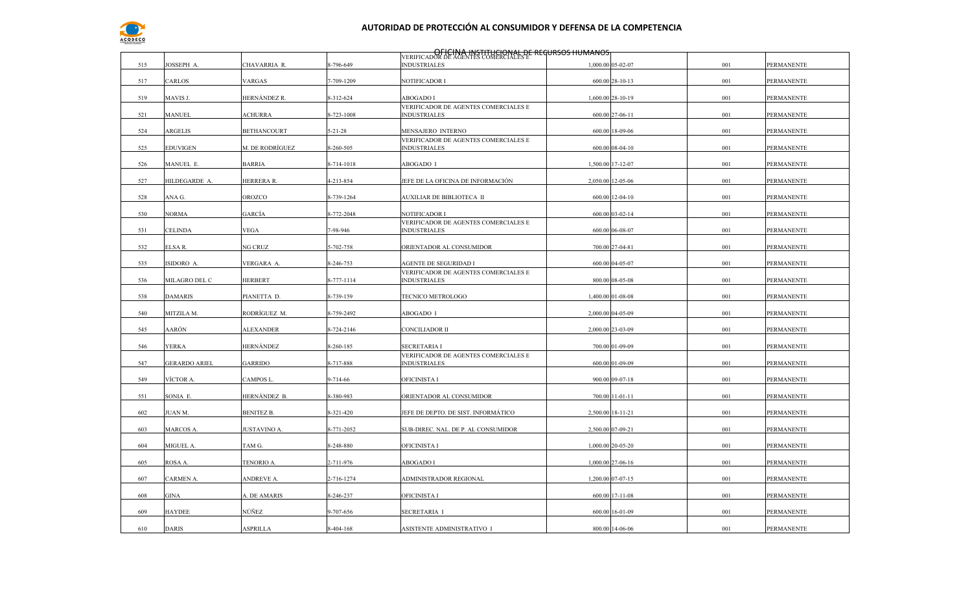

| 515 | JOSSEPH A.     | CHAVARRIA R.       | 8-796-649     | <b>NDUSTRIALES</b>                                          | 1,000.00 05-02-07 | 001 | PERMANENTE        |
|-----|----------------|--------------------|---------------|-------------------------------------------------------------|-------------------|-----|-------------------|
| 517 | CARLOS         | VARGAS             | 7-709-1209    | NOTIFICADOR I                                               | 600.00 28-10-13   | 001 | PERMANENTE        |
| 519 | MAVIS J.       | HERNÁNDEZ R.       | 8-312-624     | ABOGADO I                                                   | 1,600.00 28-10-19 | 001 | PERMANENTE        |
| 521 | MANUEL         | <b>ACHURRA</b>     | 8-723-1008    | VERIFICADOR DE AGENTES COMERCIALES E<br>INDUSTRIALES        | 600.00 27-06-11   | 001 | PERMANENTE        |
|     |                |                    |               |                                                             |                   |     |                   |
| 524 | ARGELIS        | <b>BETHANCOURT</b> | $5 - 21 - 28$ | MENSAJERO INTERNO                                           | 600.00 18-09-06   | 001 | PERMANENTE        |
| 525 | EDUVIGEN       | M. DE RODRÍGUEZ    | 8-260-505     | VERIFICADOR DE AGENTES COMERCIALES E<br><b>INDUSTRIALES</b> | 600.00 08-04-10   | 001 | PERMANENTE        |
| 526 | MANUEL E.      | <b>BARRIA</b>      | 8-714-1018    | ABOGADO I                                                   | 1,500.00 17-12-07 | 001 | PERMANENTE        |
| 527 | HILDEGARDE A.  | HERRERA R.         | 4-213-854     | JEFE DE LA OFICINA DE INFORMACIÓN                           | 2,050.00 12-05-06 | 001 | <b>PERMANENTE</b> |
| 528 | ANA G.         | OROZCO             | 8-739-1264    | AUXILIAR DE BIBLIOTECA II                                   | 600.00 12-04-10   | 001 | PERMANENTE        |
|     |                |                    |               |                                                             |                   |     |                   |
| 530 | NORMA          | GARCÍA             | 8-772-2048    | NOTIFICADOR I                                               | 600.00 03-02-14   | 001 | <b>PERMANENTE</b> |
| 531 | CELINDA        | <b>VEGA</b>        | 7-98-946      | VERIFICADOR DE AGENTES COMERCIALES E<br><b>INDUSTRIALES</b> | 600.00 06-08-07   | 001 | PERMANENTE        |
|     |                |                    |               |                                                             |                   |     |                   |
| 532 | ELSA R.        | NG CRUZ            | 5-702-758     | ORIENTADOR AL CONSUMIDOR                                    | 700.00 27-04-81   | 001 | PERMANENTE        |
| 535 | ISIDORO A.     | VERGARA A.         | 8-246-753     | AGENTE DE SEGURIDAD I                                       | 600.00 04-05-07   | 001 | PERMANENTE        |
| 536 | MILAGRO DEL C  | HERBERT            | 8-777-1114    | VERIFICADOR DE AGENTES COMERCIALES E<br><b>NDUSTRIALES</b>  | 800.00 08-05-08   | 001 | PERMANENTE        |
| 538 | <b>DAMARIS</b> | PIANETTA D.        | 8-739-159     | TECNICO METROLOGO                                           | 1,400.00 01-08-08 | 001 | PERMANENTE        |
| 540 | MITZILA M.     | RODRÍGUEZ M.       | 8-759-2492    | ABOGADO I                                                   | 2,000.00 04-05-09 | 001 | PERMANENTE        |
| 545 | AARÓN          | ALEXANDER          | 8-724-2146    | CONCILIADOR II                                              | 2,000.00 23-03-09 | 001 | PERMANENTE        |
| 546 | YERKA          | HERNÁNDEZ          | 8-260-185     | SECRETARIA I                                                | 700.00 01-09-09   | 001 | PERMANENTE        |
| 547 | GERARDO ARIEL  | GARRIDO            | 8-717-888     | VERIFICADOR DE AGENTES COMERCIALES E<br><b>INDUSTRIALES</b> | 600.00 01-09-09   | 001 | PERMANENTE        |
|     |                |                    |               |                                                             |                   |     |                   |
| 549 | VÍCTOR A.      | CAMPOS L.          | 9-714-66      | OFICINISTA I                                                | 900.00 09-07-18   | 001 | PERMANENTE        |
| 551 | SONIA E.       | HERNÁNDEZ B.       | 8-380-983     | ORIENTADOR AL CONSUMIDOR                                    | 700.00 11-01-11   | 001 | PERMANENTE        |
| 602 | JUAN M.        | <b>BENITEZ B.</b>  | 8-321-420     | JEFE DE DEPTO. DE SIST. INFORMÁTICO                         | 2,500.00 18-11-21 | 001 | PERMANENTE        |
| 603 | MARCOS A.      | JUSTAVINO A.       | 8-771-2052    | SUB-DIREC. NAL. DE P. AL CONSUMIDOR                         | 2,500.00 07-09-21 | 001 | <b>PERMANENTE</b> |
| 604 | MIGUEL A.      | TAM G.             | 8-248-880     | OFICINISTA I                                                | 1,000.00 20-05-20 | 001 | PERMANENTE        |
| 605 | ROSA A.        | TENORIO A.         | 2-711-976     | ABOGADO I                                                   | 1,000.00 27-06-16 | 001 | <b>PERMANENTE</b> |
|     |                |                    |               |                                                             |                   |     |                   |
| 607 | CARMEN A.      | ANDREVE A.         | 2-716-1274    | ADMINISTRADOR REGIONAL                                      | 1,200.00 07-07-15 | 001 | PERMANENTE        |
| 608 | GINA           | A. DE AMARIS       | 8-246-237     | OFICINISTA I                                                | 600.00 17-11-08   | 001 | PERMANENTE        |
| 609 | HAYDEE         | NÚÑEZ              | 9-707-656     | SECRETARIA I                                                | 600.00 16-01-09   | 001 | PERMANENTE        |
| 610 | <b>DARIS</b>   | <b>ASPRILLA</b>    | 8-404-168     | ASISTENTE ADMINISTRATIVO 1                                  | 800.00 14-06-06   | 001 | PERMANENTE        |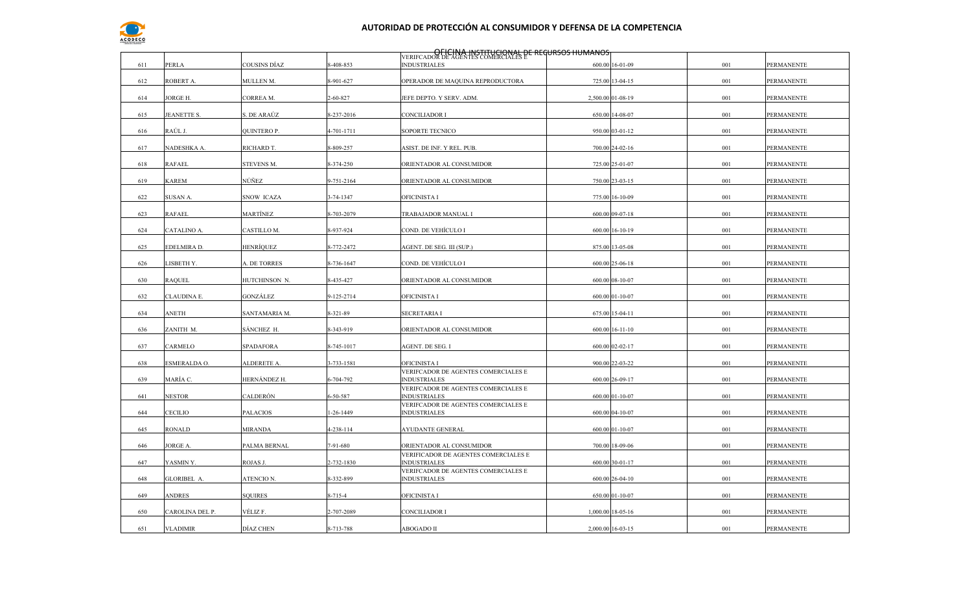

| 611 | PERLA           | COUSINS DÍAZ       | 3-408-853       | <b>OFICINA INSTITUCIONAL DE REGURSOS HUMANOS</b><br><b>INDUSTRIALES</b> | 600.00 16-01-09   | 001 | PERMANENTE        |
|-----|-----------------|--------------------|-----------------|-------------------------------------------------------------------------|-------------------|-----|-------------------|
| 612 | ROBERT A.       | MULLEN M.          | 3-901-627       | OPERADOR DE MAQUINA REPRODUCTORA                                        | 725.00 13-04-15   | 001 | PERMANENTE        |
| 614 | JORGE H.        | CORREA M.          | 2-60-827        | JEFE DEPTO. Y SERV. ADM.                                                | 2,500.00 01-08-19 | 001 | <b>PERMANENTE</b> |
| 615 | JEANETTE S.     | S. DE ARAÚZ        | 8-237-2016      | CONCILIADOR I                                                           | 650.00 14-08-07   | 001 | <b>PERMANENTE</b> |
| 616 | RAÚL J.         | <b>QUINTERO P.</b> | 4-701-1711      | <b>SOPORTE TECNICO</b>                                                  | 950.00 03-01-12   | 001 | PERMANENTE        |
|     |                 |                    |                 |                                                                         |                   |     |                   |
| 617 | NADESHKA A.     | RICHARD T.         | 8-809-257       | ASIST. DE INF. Y REL. PUB.                                              | 700.00 24-02-16   | 001 | <b>PERMANENTE</b> |
| 618 | RAFAEL          | STEVENS M.         | 8-374-250       | ORIENTADOR AL CONSUMIDOR                                                | 725.00 25-01-07   | 001 | PERMANENTE        |
| 619 | KAREM           | NÚÑEZ              | 9-751-2164      | ORIENTADOR AL CONSUMIDOR                                                | 750.00 23-03-15   | 001 | <b>PERMANENTE</b> |
| 622 | SUSAN A.        | SNOW ICAZA         | 3-74-1347       | OFICINISTA I                                                            | 775.00 16-10-09   | 001 | PERMANENTE        |
| 623 | <b>RAFAEL</b>   | MARTÍNEZ           | 8-703-2079      | TRABAJADOR MANUAL I                                                     | 600.00 09-07-18   | 001 | <b>PERMANENTE</b> |
| 624 | CATALINO A.     | CASTILLO M.        | 8-937-924       | COND. DE VEHÍCULO I                                                     | 600.00 16-10-19   | 001 | <b>PERMANENTE</b> |
| 625 | EDELMIRA D.     | HENRÍQUEZ          | 8-772-2472      | AGENT. DE SEG. III (SUP.)                                               | 875.00 13-05-08   | 001 | <b>PERMANENTE</b> |
| 626 | LISBETH Y.      | A. DE TORRES       | 8-736-1647      | COND. DE VEHÍCULO I                                                     | 600.00 25-06-18   | 001 | <b>PERMANENTE</b> |
| 630 | RAQUEL          | HUTCHINSON N.      | 3-435-427       | ORIENTADOR AL CONSUMIDOR                                                | 600.00 08-10-07   | 001 | PERMANENTE        |
| 632 | CLAUDINA E.     | GONZÁLEZ           | 9-125-2714      | OFICINISTA I                                                            | 600.00 01-10-07   | 001 | PERMANENTE        |
| 634 | ANETH           | SANTAMARIA M.      | 8-321-89        | <b>SECRETARIA I</b>                                                     | 675.00 15-04-11   | 001 | <b>PERMANENTE</b> |
| 636 | ZANITH M.       | SÁNCHEZ H.         | 8-343-919       | ORIENTADOR AL CONSUMIDOR                                                | 600.00 16-11-10   | 001 | <b>PERMANENTE</b> |
| 637 | <b>ARMELO</b>   | <b>SPADAFORA</b>   | 8-745-1017      | AGENT. DE SEG. I                                                        | 600.00 02-02-17   | 001 | PERMANENTE        |
| 638 | ESMERALDA O.    | ALDERETE A.        | 3-733-1581      | OFICINISTA I                                                            | 900.00 22-03-22   | 001 | <b>PERMANENTE</b> |
|     |                 |                    |                 | VERIFCADOR DE AGENTES COMERCIALES E                                     |                   |     |                   |
| 639 | MARÍA C.        | HERNÁNDEZ H.       | 6-704-792       | <b>INDUSTRIALES</b><br>VERIFCADOR DE AGENTES COMERCIALES E              | 600.00 26-09-17   | 001 | PERMANENTE        |
| 641 | <b>NESTOR</b>   | CALDERÓN           | 6-50-587        | <b>INDUSTRIALES</b>                                                     | 600.00 01-10-07   | 001 | <b>PERMANENTE</b> |
| 644 | CECILIO         | <b>PALACIOS</b>    | $1 - 26 - 1449$ | VERIFCADOR DE AGENTES COMERCIALES E<br><b>INDUSTRIALES</b>              | 600.00 04-10-07   | 001 | PERMANENTE        |
| 645 | RONALD          | <b>MIRANDA</b>     | 4-238-114       | <b>AYUDANTE GENERAL</b>                                                 | 600.00 01-10-07   | 001 | <b>PERMANENTE</b> |
| 646 | JORGE A.        | PALMA BERNAL       | 7-91-680        | ORIENTADOR AL CONSUMIDOR                                                | 700.00 18-09-06   | 001 | PERMANENTE        |
| 647 | YASMINY.        | ROJAS J.           | 2-732-1830      | VERIFICADOR DE AGENTES COMERCIALES E<br><b>INDUSTRIALES</b>             | 600.00 30-01-17   | 001 | <b>PERMANENTE</b> |
| 648 | GLORIBEL A.     | ATENCIO N.         | 8-332-899       | VERIFCADOR DE AGENTES COMERCIALES E<br><b>INDUSTRIALES</b>              | 600.00 26-04-10   | 001 | <b>PERMANENTE</b> |
| 649 | <b>ANDRES</b>   | <b>SQUIRES</b>     | 8-715-4         | OFICINISTA I                                                            | 650.00 01-10-07   | 001 | <b>PERMANENTE</b> |
|     |                 |                    |                 |                                                                         |                   |     |                   |
| 650 | CAROLINA DEL P. | VÉLIZ F.           | -707-2089       | <b>CONCILIADOR I</b>                                                    | 1,000.00 18-05-16 | 001 | PERMANENTE        |
| 651 | <b>VLADIMIR</b> | DÍAZ CHEN          | 3-713-788       | ABOGADO II                                                              | 2,000.00 16-03-15 | 001 | <b>PERMANENTE</b> |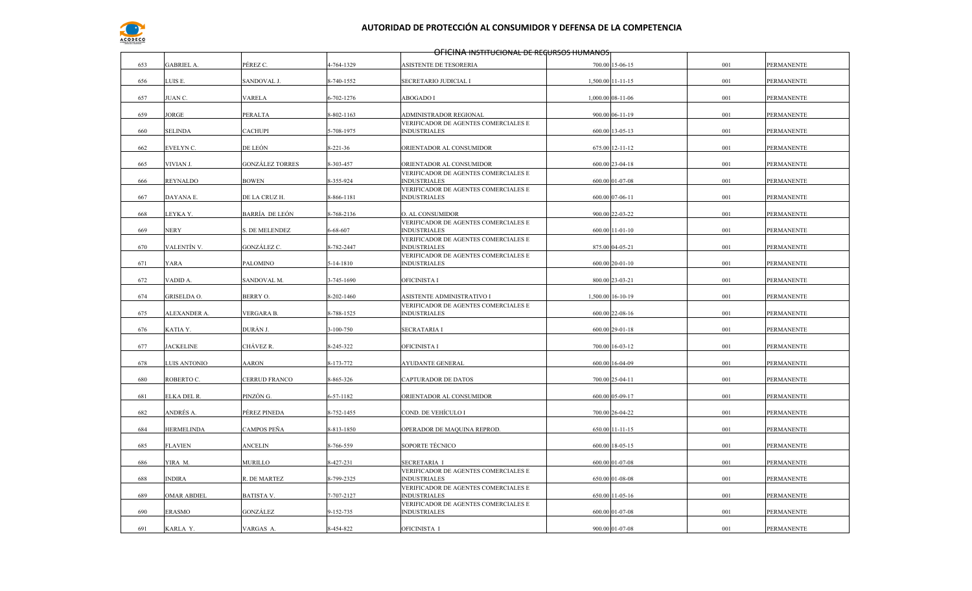

| 653 | GABRIEL A.      | PÉREZ C.               | 4-764-1329     | <del>OHCINA INSTITUCIONAL DE REGURSOS HUMANOS</del><br>ASISTENTE DE TESORERIA | 700.00 15-06-15   | 001 | PERMANENTE        |
|-----|-----------------|------------------------|----------------|-------------------------------------------------------------------------------|-------------------|-----|-------------------|
| 656 | LUIS E.         | SANDOVAL J.            | 8-740-1552     | SECRETARIO JUDICIAL I                                                         | 1,500.00 11-11-15 | 001 | <b>PERMANENTE</b> |
| 657 | JUAN C.         | <b>VARELA</b>          | 6-702-1276     | ABOGADO I                                                                     | 1,000.00 08-11-06 | 001 | PERMANENTE        |
|     |                 |                        |                |                                                                               |                   |     |                   |
| 659 | JORGE           | PERALTA                | 8-802-1163     | ADMINISTRADOR REGIONAL                                                        | 900.00 06-11-19   | 001 | PERMANENTE        |
| 660 | <b>SELINDA</b>  | <b>CACHUPI</b>         | 5-708-1975     | VERIFICADOR DE AGENTES COMERCIALES E<br><b>INDUSTRIALES</b>                   | 600.00 13-05-13   | 001 | PERMANENTE        |
| 662 | EVELYN C.       | DE LEÓN                | $8 - 221 - 36$ | ORIENTADOR AL CONSUMIDOR                                                      | 675.00 12-11-12   | 001 | PERMANENTE        |
| 665 | VIVIAN J.       | <b>GONZÁLEZ TORRES</b> | 8-303-457      | ORIENTADOR AL CONSUMIDOR                                                      | 600.00 23-04-18   | 001 | <b>PERMANENTE</b> |
| 666 | <b>REYNALDO</b> | <b>BOWEN</b>           | 8-355-924      | VERIFICADOR DE AGENTES COMERCIALES E<br><b>INDUSTRIALES</b>                   | 600.00 01-07-08   | 001 | PERMANENTE        |
| 667 | DAYANA E.       | DE LA CRUZ H.          | 8-866-1181     | VERIFICADOR DE AGENTES COMERCIALES E<br><b>INDUSTRIALES</b>                   | 600.00 07-06-11   | 001 | PERMANENTE        |
|     |                 |                        |                |                                                                               |                   |     |                   |
| 668 | LEYKA Y.        | BARRÍA DE LEÓN         | 8-768-2136     | O. AL CONSUMIDOR                                                              | 900.00 22-03-22   | 001 | PERMANENTE        |
| 669 | NERY            | S. DE MELENDEZ         | 6-68-607       | VERIFICADOR DE AGENTES COMERCIALES E<br><b>NDUSTRIALES</b>                    | 600.00 11-01-10   | 001 | PERMANENTE        |
| 670 | VALENTÍN V.     | GONZÁLEZ C.            | 8-782-2447     | VERIFICADOR DE AGENTES COMERCIALES E<br><b>INDUSTRIALES</b>                   | 875.00 04-05-21   | 001 | PERMANENTE        |
| 671 | YARA            | PALOMINO               | 5-14-1810      | VERIFICADOR DE AGENTES COMERCIALES E<br><b>INDUSTRIALES</b>                   | 600.00 20-01-10   | 001 | PERMANENTE        |
| 672 | VADID A.        | SANDOVAL M.            | 3-745-1690     | OFICINISTA I                                                                  | 800.00 23-03-21   | 001 | PERMANENTE        |
|     |                 |                        |                |                                                                               |                   |     |                   |
| 674 | GRISELDA O.     | <b>BERRY O.</b>        | 8-202-1460     | ASISTENTE ADMINISTRATIVO I                                                    | 1,500.00 16-10-19 | 001 | PERMANENTE        |
| 675 | ALEXANDER A.    | VERGARA B.             | 8-788-1525     | VERIFICADOR DE AGENTES COMERCIALES E<br><b>INDUSTRIALES</b>                   | 600.00 22-08-16   | 001 | PERMANENTE        |
| 676 | KATIA Y.        | DURÁN J.               | 3-100-750      | SECRATARIA I                                                                  | 600.00 29-01-18   | 001 | PERMANENTE        |
| 677 | JACKELINE       | CHÁVEZ R.              | 8-245-322      | OFICINISTA I                                                                  | 700.00 16-03-12   | 001 | PERMANENTE        |
| 678 | LUIS ANTONIO    | <b>AARON</b>           | 8-173-772      | AYUDANTE GENERAL                                                              | 600.00 16-04-09   | 001 | PERMANENTE        |
| 680 | ROBERTO C.      | CERRUD FRANCO          | 8-865-326      | CAPTURADOR DE DATOS                                                           | 700.00 25-04-11   | 001 | PERMANENTE        |
| 681 | ELKA DEL R.     | PINZÓN G.              | 6-57-1182      | ORIENTADOR AL CONSUMIDOR                                                      | 600.00 05-09-17   | 001 | PERMANENTE        |
| 682 | ANDRÉS A.       | PÉREZ PINEDA           | 8-752-1455     | COND. DE VEHÍCULO I                                                           | 700.00 26-04-22   | 001 | PERMANENTE        |
|     |                 |                        |                |                                                                               |                   |     |                   |
| 684 | HERMELINDA      | CAMPOS PEÑA            | 8-813-1850     | OPERADOR DE MAQUINA REPROD.                                                   | 650.00 11-11-15   | 001 | PERMANENTE        |
| 685 | <b>FLAVIEN</b>  | <b>ANCELIN</b>         | 8-766-559      | SOPORTE TÉCNICO                                                               | 600.00 18-05-15   | 001 | PERMANENTE        |
| 686 | YIRA M.         | MURILLO                | 8-427-231      | SECRETARIA I                                                                  | 600.00 01-07-08   | 001 | <b>PERMANENTE</b> |
| 688 | <b>INDIRA</b>   | R. DE MARTEZ           | 8-799-2325     | VERIFICADOR DE AGENTES COMERCIALES E<br><b>INDUSTRIALES</b>                   | 650.00 01-08-08   | 001 | PERMANENTE        |
| 689 | OMAR ABDIEL     | BATISTA V.             | 7-707-2127     | VERIFICADOR DE AGENTES COMERCIALES E<br><b>NDUSTRIALES</b>                    | 650.00 11-05-16   | 001 | PERMANENTE        |
| 690 | <b>ERASMO</b>   | GONZÁLEZ               | 9-152-735      | VERIFICADOR DE AGENTES COMERCIALES E<br><b>NDUSTRIALES</b>                    | 600.00 01-07-08   | 001 | PERMANENTE        |
|     |                 |                        |                |                                                                               |                   |     |                   |
| 691 | KARLA Y.        | VARGAS A.              | 8-454-822      | OFICINISTA I                                                                  | 900.00 01-07-08   | 001 | PERMANENTE        |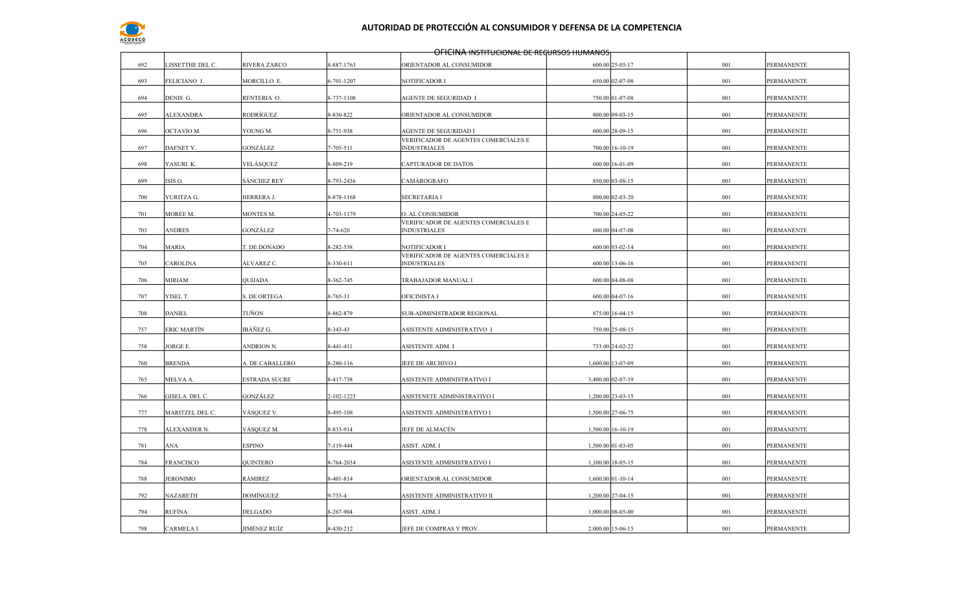

|     | <del>OHCINA INSTITUCIONAL DE REGURSOS HUMANOS<sub>I</sub></del> |                      |               |                                                             |  |                   |     |                   |
|-----|-----------------------------------------------------------------|----------------------|---------------|-------------------------------------------------------------|--|-------------------|-----|-------------------|
| 692 | LISSETTHE DEL C.                                                | RIVERA ZARCO         | 8-887-1763    | ORIENTADOR AL CONSUMIDOR                                    |  | 600.00 25-05-17   | 001 | PERMANENTE        |
| 693 | FELICIANO J.                                                    | MORCILLO E.          | 6-701-1207    | NOTIFICADOR I                                               |  | 650.00 02-07-08   | 001 | <b>PERMANENTE</b> |
| 694 | DENIS G.                                                        | RENTERIA O.          | 8-737-1108    | AGENTE DE SEGURIDAD I                                       |  | 750.00 01-07-08   | 001 | PERMANENTE        |
| 695 | ALEXANDRA                                                       | RODRÍGUEZ            | 8-830-822     | ORIENTADOR AL CONSUMIDOR                                    |  | 800.00 09-03-15   | 001 | <b>PERMANENTE</b> |
| 696 | OCTAVIO M.                                                      | YOUNG M.             | 8-751-938     | AGENTE DE SEGURIDAD I                                       |  | 600.00 28-09-15   | 001 | <b>PERMANENTE</b> |
| 697 | DAFNET Y.                                                       | GONZÁLEZ             | 7-705-511     | VERIFICADOR DE AGENTES COMERCIALES E<br><b>INDUSTRIALES</b> |  | 700.00 16-10-19   | 001 | <b>PERMANENTE</b> |
| 698 | YASURI K.                                                       | VELÁSQUEZ            | 8-809-219     | CAPTURADOR DE DATOS                                         |  | 600.00 16-01-09   | 001 | <b>PERMANENTE</b> |
| 699 | ISIS O.                                                         | <b>SÁNCHEZ REY</b>   | 8-793-2436    | CAMÁROGRAFO                                                 |  | 850.00 03-08-15   | 001 | PERMANENTE        |
| 700 | YURITZA G.                                                      | HERRERA J.           | 8-878-1168    | <b>SECRETARIA I</b>                                         |  | 800.00 02-03-20   | 001 | <b>PERMANENTE</b> |
| 701 | MOREE M.                                                        | MONTES M.            | 4-703-1179    | O. AL CONSUMIDOR                                            |  | 700.00 24-05-22   | 001 | <b>PERMANENTE</b> |
| 703 | <b>ANDRES</b>                                                   | GONZÁLEZ             | 7-74-620      | VERIFICADOR DE AGENTES COMERCIALES E<br><b>NDUSTRIALES</b>  |  | 600.00 04-07-08   | 001 | PERMANENTE        |
| 704 | MARIA                                                           | T. DE DONADO         | 8-282-538     | NOTIFICADOR I                                               |  | 600.00 03-02-14   | 001 | PERMANENTE        |
| 705 | CAROLINA                                                        | ÁLVAREZ C.           | 8-330-611     | VERIFICADOR DE AGENTES COMERCIALES E<br><b>INDUSTRIALES</b> |  | 600.00 13-06-16   | 001 | <b>PERMANENTE</b> |
| 706 | MIRIAM                                                          | <b>QUIJADA</b>       | 8-362-745     | TRABAJADOR MANUAL I                                         |  | 600.00 04-08-08   | 001 | <b>PERMANENTE</b> |
| 707 | YISEL T.                                                        | S. DE ORTEGA         | 8-765-31      | OFICINISTA I                                                |  | 600.00 04-07-16   | 001 | PERMANENTE        |
|     |                                                                 |                      |               |                                                             |  |                   |     |                   |
| 708 | <b>DANIEL</b>                                                   | TUÑON                | 8-862-879     | SUB-ADMINISTRADOR REGIONAL                                  |  | 875.00 16-04-15   | 001 | <b>PERMANENTE</b> |
| 757 | ERIC MARTÍN                                                     | IBÁÑEZ G.            | 8-343-43      | ASISTENTE ADMINISTRATIVO 1                                  |  | 750.00 25-08-15   | 001 | PERMANENTE        |
| 758 | JORGE E.                                                        | ANDRION N.           | 8-441-411     | ASISTENTE ADM. I                                            |  | 733.00 24-02-22   | 001 | <b>PERMANENTE</b> |
| 760 | <b>BRENDA</b>                                                   | A. DE CABALLERO      | 8-280-116     | JEFE DE ARCHIVO I                                           |  | 1,600.00 13-07-09 | 001 | <b>PERMANENTE</b> |
| 765 | MELVA A.                                                        | <b>ESTRADA SUCRE</b> | 8-417-738     | ASISTENTE ADMINISTRATIVO I                                  |  | 3,400.00 02-07-19 | 001 | <b>PERMANENTE</b> |
| 766 | GISELA DEL C.                                                   | GONZÁLEZ             | 2-102-1223    | ASISTENETE ADMINISTRATIVO I                                 |  | 1,200.00 23-03-15 | 001 | PERMANENTE        |
| 777 | MARITZEL DEL C.                                                 | VÁSQUEZ V.           | 8-495-108     | ASISTENTE ADMINISTRATIVO I                                  |  | 1,500.00 27-06-75 | 001 | <b>PERMANENTE</b> |
| 778 | ALEXANDER N.                                                    | VÁSQUEZ M.           | 8-833-914     | JEFE DE ALMACÉN                                             |  | 1,500.00 16-10-19 | 001 | PERMANENTE        |
| 781 | ANA                                                             | ESPINO               | 7-119-444     | ASIST. ADM. I                                               |  | 1,500.00 01-03-05 | 001 | PERMANENTE        |
| 784 | <b>FRANCISCO</b>                                                | <b>QUINTERO</b>      | 8-764-2034    | ASISTENTE ADMINISTRATIVO I                                  |  | 1,100.00 18-05-15 | 001 | <b>PERMANENTE</b> |
| 788 | <b>JERONIMO</b>                                                 | RÁMIREZ              | 8-401-814     | ORIENTADOR AL CONSUMIDOR                                    |  | 1,600.00 01-10-14 | 001 | <b>PERMANENTE</b> |
| 792 | <b>NAZARETH</b>                                                 | <b>DOMÍNGUEZ</b>     | $9 - 733 - 4$ | ASISTENTE ADMINISTRATIVO II                                 |  | 1,200.00 27-04-15 | 001 | <b>PERMANENTE</b> |
| 794 | RUFINA                                                          | DELGADO              | 8-267-904     | ASIST. ADM. I                                               |  | 1,000.00 08-05-00 | 001 | PERMANENTE        |
| 798 | CARMELA I.                                                      | <b>JIMÉNEZ RUÍZ</b>  | 8-430-212     | JEFE DE COMPRAS Y PROV.                                     |  | 2.000.00 15-06-15 | 001 | PERMANENTE        |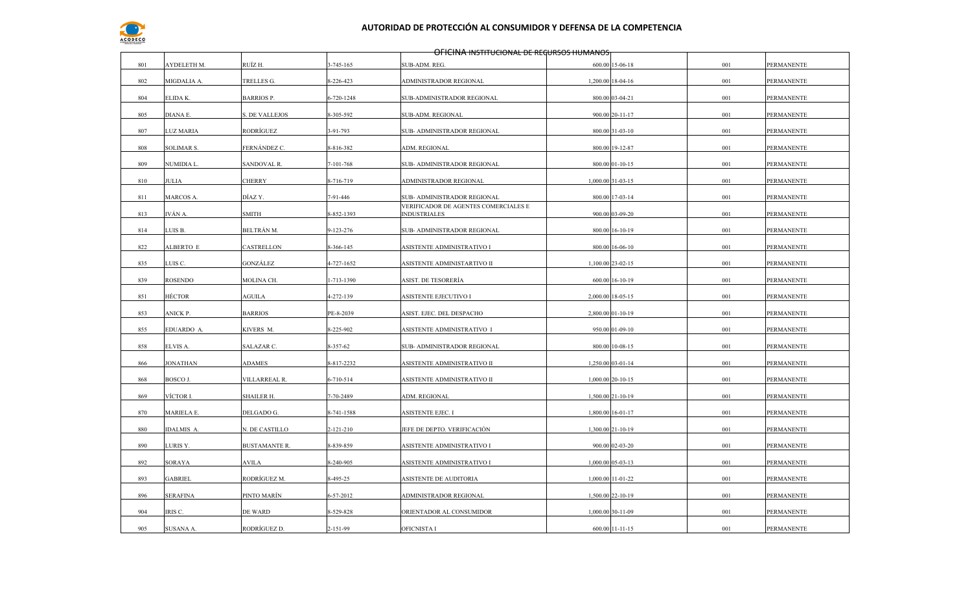

|     | OFICINA INSTITUCIONAL DE REGURSOS HUMANOS |                      |            |                                                             |  |                   |         |                   |  |
|-----|-------------------------------------------|----------------------|------------|-------------------------------------------------------------|--|-------------------|---------|-------------------|--|
| 801 | AYDELETH M.                               | RUÍZ H.              | 3-745-165  | SUB-ADM. REG.                                               |  | 600.00 15-06-18   | 001     | PERMANENTE        |  |
| 802 | MIGDALIA A.                               | TRELLES G.           | 8-226-423  | ADMINISTRADOR REGIONAL                                      |  | 1,200.00 18-04-16 | 001     | PERMANENTE        |  |
| 804 | ELIDA K.                                  | <b>BARRIOS P.</b>    | 6-720-1248 | SUB-ADMINISTRADOR REGIONAL                                  |  | 800.00 03-04-21   | 001     | PERMANENTE        |  |
| 805 | DIANA E.                                  | S. DE VALLEJOS       | 8-305-592  | SUB-ADM. REGIONAL                                           |  | 900.00 20-11-17   | 001     | PERMANENTE        |  |
| 807 | LUZ MARIA                                 | RODRÍGUEZ            | 3-91-793   | SUB- ADMINISTRADOR REGIONAL                                 |  | 800.00 31-03-10   | 001     | PERMANENTE        |  |
| 808 | SOLIMAR S.                                | FERNÁNDEZ C.         | 8-816-382  | ADM. REGIONAL                                               |  | 800.00 19-12-87   | 001     | PERMANENTE        |  |
| 809 | NUMIDIA L.                                | SANDOVAL R.          | 7-101-768  | SUB- ADMINISTRADOR REGIONAL                                 |  | 800.00 01-10-15   | 001     | PERMANENTE        |  |
| 810 | <b>JULIA</b>                              | <b>CHERRY</b>        | 8-716-719  | ADMINISTRADOR REGIONAL                                      |  | 1,000.00 31-03-15 | 001     | PERMANENTE        |  |
| 811 | MARCOS A.                                 | DÍAZ Y.              | 7-91-446   | SUB- ADMINISTRADOR REGIONAL                                 |  | 800.00 17-03-14   | 001     | PERMANENTE        |  |
| 813 | IVÁN A.                                   | <b>SMITH</b>         | 8-852-1393 | VERIFICADOR DE AGENTES COMERCIALES E<br><b>INDUSTRIALES</b> |  | 900.00 03-09-20   | 001     | PERMANENTE        |  |
| 814 | LUIS B.                                   | BELTRÁN M.           | 9-123-276  | SUB- ADMINISTRADOR REGIONAL                                 |  | 800.00 16-10-19   | 001     | PERMANENTE        |  |
| 822 | ALBERTO E                                 | CASTRELLON           | 8-366-145  | ASISTENTE ADMINISTRATIVO I                                  |  | 800.00 16-06-10   | 001     | PERMANENTE        |  |
| 835 | LUIS C.                                   | GONZÁLEZ             | 4-727-1652 | ASISTENTE ADMINISTARTIVO II                                 |  | 1,100.00 23-02-15 | 001     | PERMANENTE        |  |
| 839 | ROSENDO                                   | MOLINA CH.           | -713-1390  | ASIST. DE TESORERÍA                                         |  | 600.00 16-10-19   | 001     | PERMANENTE        |  |
| 851 | HÉCTOR                                    | AGUILA               | 4-272-139  | ASISTENTE EJECUTIVO I                                       |  | 2,000.00 18-05-15 | 001     | PERMANENTE        |  |
| 853 | ANICK P.                                  | <b>BARRIOS</b>       | PE-8-2039  | ASIST. EJEC. DEL DESPACHO                                   |  | 2,800.00 01-10-19 | 001     | PERMANENTE        |  |
| 855 | EDUARDO A.                                | KIVERS M.            | 8-225-902  | ASISTENTE ADMINISTRATIVO 1                                  |  | 950.00 01-09-10   | 001     | PERMANENTE        |  |
| 858 | ELVIS A.                                  | SALAZAR C.           | 8-357-62   | SUB- ADMINISTRADOR REGIONAL                                 |  | 800.00 10-08-15   | 001     | PERMANENTE        |  |
| 866 | JONATHAN                                  | ADAMES               | 8-817-2232 | ASISTENTE ADMINISTRATIVO II                                 |  | 1,250.00 03-01-14 | 001     | PERMANENTE        |  |
| 868 | BOSCO J.                                  | VILLARREAL R.        | 6-710-514  | ASISTENTE ADMINISTRATIVO II                                 |  | 1,000.00 20-10-15 | 001     | PERMANENTE        |  |
| 869 | VÍCTOR I.                                 | SHAILER H.           | 7-70-2489  | ADM. REGIONAL                                               |  | 1,500.00 21-10-19 | 001     | PERMANENTE        |  |
| 870 | MARIELA E.                                | DELGADO G.           | 8-741-1588 | ASISTENTE EJEC. I                                           |  | 1,800.00 16-01-17 | $001\,$ | PERMANENTE        |  |
| 880 | <b>IDALMIS A.</b>                         | N. DE CASTILLO       | 2-121-210  | JEFE DE DEPTO. VERIFICACIÓN                                 |  | 1,300.00 21-10-19 | 001     | PERMANENTE        |  |
| 890 | LURIS Y.                                  | <b>BUSTAMANTE R.</b> | 8-839-859  | ASISTENTE ADMINISTRATIVO I                                  |  | 900.00 02-03-20   | 001     | PERMANENTE        |  |
| 892 | SORAYA                                    | AVILA                | 3-240-905  | ASISTENTE ADMINISTRATIVO I                                  |  | 1,000.00 05-03-13 | 001     | PERMANENTE        |  |
| 893 | <b>GABRIEL</b>                            | RODRÍGUEZ M.         | 8-495-25   |                                                             |  |                   | 001     |                   |  |
|     |                                           |                      |            | ASISTENTE DE AUDITORIA                                      |  | 1,000.00 11-01-22 |         | PERMANENTE        |  |
| 896 | <b>SERAFINA</b>                           | PINTO MARÍN          | 6-57-2012  | ADMINISTRADOR REGIONAL                                      |  | 1,500.00 22-10-19 | 001     | PERMANENTE        |  |
| 904 | IRIS C.                                   | DE WARD              | 3-529-828  | ORIENTADOR AL CONSUMIDOR                                    |  | 1,000.00 30-11-09 | 001     | PERMANENTE        |  |
| 905 | SUSANA A.                                 | RODRÍGUEZ D.         | 2-151-99   | OFICNISTA I                                                 |  | 600.00 11-11-15   | 001     | <b>PERMANENTE</b> |  |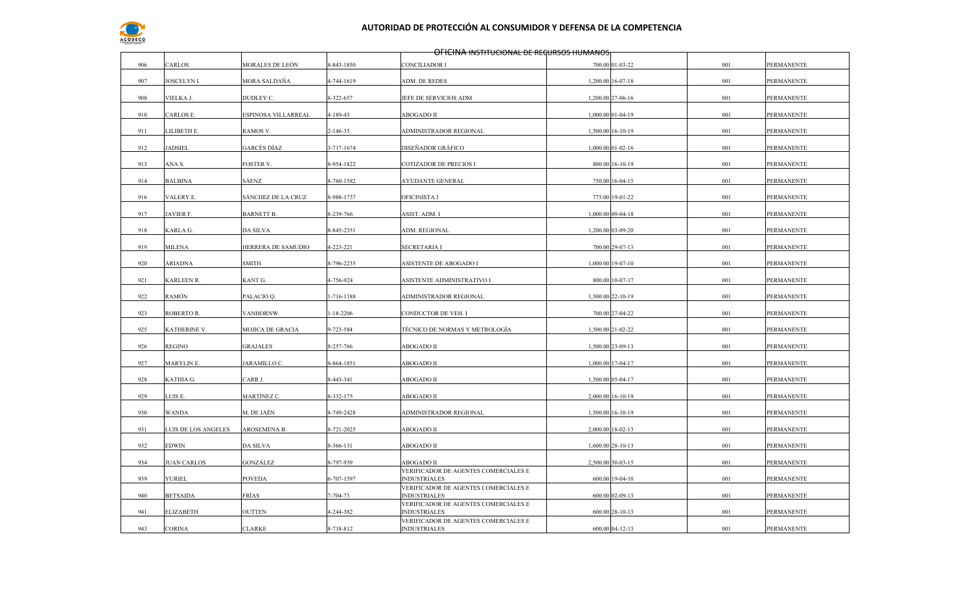

|     | OFICINA INSTITUCIONAL DE REGURSOS HUMANOS |                     |                 |                                                             |  |                   |     |            |  |
|-----|-------------------------------------------|---------------------|-----------------|-------------------------------------------------------------|--|-------------------|-----|------------|--|
| 906 | CARLOS                                    | MORALES DE LEÓN     | 8-843-1850      | CONCILIADOR I                                               |  | 700.00 01-03-22   | 001 | PERMANENTE |  |
| 907 | JOSCELYN I.                               | MORA SALDAÑA        | 4-744-1619      | ADM. DE REDES                                               |  | 1,200.00 16-07-18 | 001 | PERMANENTE |  |
| 908 | VIELKA J.                                 | DUDLEY C.           | 8-322-657       | JEFE DE SERVICIOS ADM                                       |  | 1,200.00 27-06-16 | 001 | PERMANENTE |  |
| 910 | CARLOS E.                                 | ESPINOSA VILLARREAL | 4-189-43        | ABOGADO II                                                  |  | 1,000.00 01-04-19 | 001 | PERMANENTE |  |
| 911 | <b>LILIBETH E.</b>                        | RAMOS V.            | 2-146-35        | ADMINISTRADOR REGIONAL                                      |  | 1,500.00 16-10-19 | 001 | PERMANENTE |  |
| 912 | <b>JADSIEL</b>                            | GARCÉS DÍAZ         | 3-717-1674      | DISEÑADOR GRÁFICO                                           |  | 1,000.00 01-02-16 | 001 | PERMANENTE |  |
| 913 | ANA S.                                    | FOSTER V.           | 8-954-1822      | <b>COTIZADOR DE PRECIOS I</b>                               |  | 800.00 16-10-19   | 001 | PERMANENTE |  |
| 914 | <b>BALBINA</b>                            | SÁENZ               | 8-760-1582      | <b>AYUDANTE GENERAL</b>                                     |  | 750.00 16-04-15   | 001 | PERMANENTE |  |
| 916 | VALERY E.                                 | SÁNCHEZ DE LA CRUZ  | 8-988-1737      | OFICINISTA I                                                |  | 775.00 19-01-22   | 001 | PERMANENTE |  |
| 917 | JAVIER F.                                 | <b>BARNETT B.</b>   | 8-239-766       | ASIST. ADM. I                                               |  | 1,000.00 09-04-18 | 001 | PERMANENTE |  |
| 918 | KARLA G.                                  | DA SILVA            | 8-845-2351      | ADM. REGIONAL                                               |  | 1,200.00 03-09-20 | 001 | PERMANENTE |  |
| 919 | MILENA                                    | HERRERA DE SAMUDIO  | 4-223-221       | <b>SECRETARIA I</b>                                         |  | 700.00 29-07-13   | 001 | PERMANENTE |  |
| 920 | ARIADNA                                   | <b>SMITH</b>        | 8-796-2235      | ASISTENTE DE ABOGADO I                                      |  | 1,000.00 19-07-10 | 001 | PERMANENTE |  |
| 921 | KARLEEN R.                                | KANT G.             | 4-756-924       | ASISTENTE ADMINISTRATIVO I                                  |  | 800.00 10-07-17   | 001 | PERMANENTE |  |
| 922 | RAMÓN                                     | PALACIO Q.          | $-716 - 1188$   | ADMINISTRADOR REGIONAL                                      |  | 1,500.00 22-10-19 | 001 | PERMANENTE |  |
| 923 | ROBERTO R.                                | VANHORNW.           | $1 - 18 - 2206$ | CONDUCTOR DE VEH. I                                         |  | 700.00 27-04-22   | 001 | PERMANENTE |  |
| 925 | KATHERINE V.                              | MOJICA DE GRACIA    | 9-723-584       | TÉCNICO DE NORMAS Y METROLOGÍA                              |  | 1,500.00 21-02-22 | 001 | PERMANENTE |  |
|     |                                           |                     |                 |                                                             |  |                   |     |            |  |
| 926 | REGINO                                    | <b>GRAJALES</b>     | 8-257-766       | ABOGADO II                                                  |  | 1,500.00 23-09-13 | 001 | PERMANENTE |  |
| 927 | MARYLIN E.                                | JARAMILLO C.        | 8-864-1851      | ABOGADO II                                                  |  | 1,000.00 17-04-17 | 001 | PERMANENTE |  |
| 928 | KATHIA G.                                 | CARR J.             | 8-443-341       | ABOGADO II                                                  |  | 1,500.00 05-04-17 | 001 | PERMANENTE |  |
| 929 | LUIS E.                                   | MARTÍNEZ C.         | 8-332-175       | ABOGADO II                                                  |  | 2,000.00 16-10-19 | 001 | PERMANENTE |  |
| 930 | <b>WANDA</b>                              | M. DE JAÉN          | 8-749-2428      | ADMINISTRADOR REGIONAL                                      |  | 1,500.00 16-10-19 | 001 | PERMANENTE |  |
| 931 | LUIS DE LOS ANGELES                       | AROSEMENA B.        | 8-721-2025      | ABOGADO II                                                  |  | 2,000.00 18-02-13 | 001 | PERMANENTE |  |
| 932 | EDWIN                                     | DA SILVA            | 3-366-131       | ABOGADO II                                                  |  | 1,600.00 28-10-13 | 001 | PERMANENTE |  |
| 934 | <b>JUAN CARLOS</b>                        | GONZÁLEZ            | 8-797-939       | ABOGADO II                                                  |  | 2,500.00 30-03-15 | 001 | PERMANENTE |  |
| 939 | YURIEL                                    | <b>POVEDA</b>       | 5-707-1597      | VERIFICADOR DE AGENTES COMERCIALES E<br><b>INDUSTRIALES</b> |  | 600.00 19-04-10   | 001 | PERMANENTE |  |
| 940 | <b>BETSAIDA</b>                           | FRÍAS               | 7-704-73        | VERIFICADOR DE AGENTES COMERCIALES E<br><b>INDUSTRIALES</b> |  | 600.00 02-09-13   | 001 | PERMANENTE |  |
| 941 | <b>ELIZABETH</b>                          | <b>OUTTEN</b>       | 1-244-382       | VERIFICADOR DE AGENTES COMERCIALES E<br><b>INDUSTRIALES</b> |  | 600.00 28-10-13   | 001 | PERMANENTE |  |
| 943 | CORINA                                    | <b>CLARKE</b>       | 8-718-812       | VERIFICADOR DE AGENTES COMERCIALES E<br><b>INDUSTRIALES</b> |  | 600.00 04-12-13   | 001 |            |  |
|     |                                           |                     |                 |                                                             |  |                   |     | PERMANENTE |  |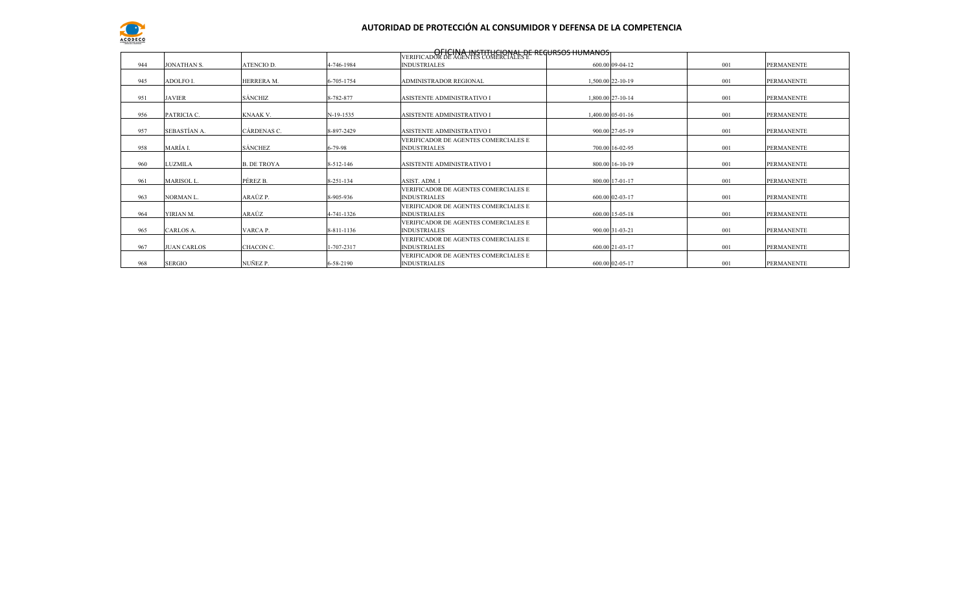

| 944 | <b>JONATHAN S.</b> | ATENCIO D.         | 4-746-1984 | <b>INDUSTRIALES</b>                                                | 600.00 09-04-12   | 001 | <b>PERMANENTE</b> |
|-----|--------------------|--------------------|------------|--------------------------------------------------------------------|-------------------|-----|-------------------|
| 945 | ADOLFO I.          | HERRERA M.         | 6-705-1754 | <b>ADMINISTRADOR REGIONAL</b>                                      | 1.500.00 22-10-19 | 001 | <b>PERMANENTE</b> |
| 951 | <b>JAVIER</b>      | <b>SÁNCHIZ</b>     | 8-782-877  | ASISTENTE ADMINISTRATIVO I                                         | 1,800.00 27-10-14 | 001 | <b>PERMANENTE</b> |
| 956 | PATRICIA C.        | KNAAK V.           | N-19-1535  | ASISTENTE ADMINISTRATIVO I                                         | 1.400.00 05-01-16 | 001 | <b>PERMANENTE</b> |
| 957 | SEBASTÍAN A        | CÁRDENAS C.        | 8-897-2429 | ASISTENTE ADMINISTRATIVO I                                         | 900.00 27-05-19   | 001 | <b>PERMANENTE</b> |
| 958 | MARÍA I.           | SÁNCHEZ            | 6-79-98    | VERIFICADOR DE AGENTES COMERCIALES E<br><b>INDUSTRIALES</b>        | 700.00 16-02-95   | 001 | <b>PERMANENTE</b> |
| 960 | LUZMILA            | <b>B. DE TROYA</b> | 8-512-146  | ASISTENTE ADMINISTRATIVO I                                         | 800.00 16-10-19   | 001 | <b>PERMANENTE</b> |
| 961 | <b>MARISOL L</b>   | PÉREZ B.           | 8-251-134  | ASIST. ADM. I                                                      | 800.00 17-01-17   | 001 | <b>PERMANENTE</b> |
| 963 | <b>NORMANL.</b>    | ARAÚZ P.           | 8-905-936  | <b>VERIFICADOR DE AGENTES COMERCIALES E</b><br><b>INDUSTRIALES</b> | 600.00 02-03-17   | 001 | <b>PERMANENTE</b> |
| 964 | YIRIAN M.          | ARAÚZ              | 4-741-1326 | <b>VERIFICADOR DE AGENTES COMERCIALES E</b><br><b>INDUSTRIALES</b> | 600.00 15-05-18   | 001 | <b>PERMANENTE</b> |
| 965 | CARLOS A.          | VARCA P.           | 8-811-1136 | <b>VERIFICADOR DE AGENTES COMERCIALES E</b><br><b>INDUSTRIALES</b> | 900.00 31-03-21   | 001 | <b>PERMANENTE</b> |
| 967 | <b>JUAN CARLOS</b> | CHACON C.          | 1-707-2317 | <b>VERIFICADOR DE AGENTES COMERCIALES E</b><br><b>INDUSTRIALES</b> | 600.00 21-03-17   | 001 | <b>PERMANENTE</b> |
| 968 | <b>SERGIO</b>      | NUÑEZ P.           | 6-58-2190  | VERIFICADOR DE AGENTES COMERCIALES E<br><b>INDUSTRIALES</b>        | 600.00 02-05-17   | 001 | <b>PERMANENTE</b> |